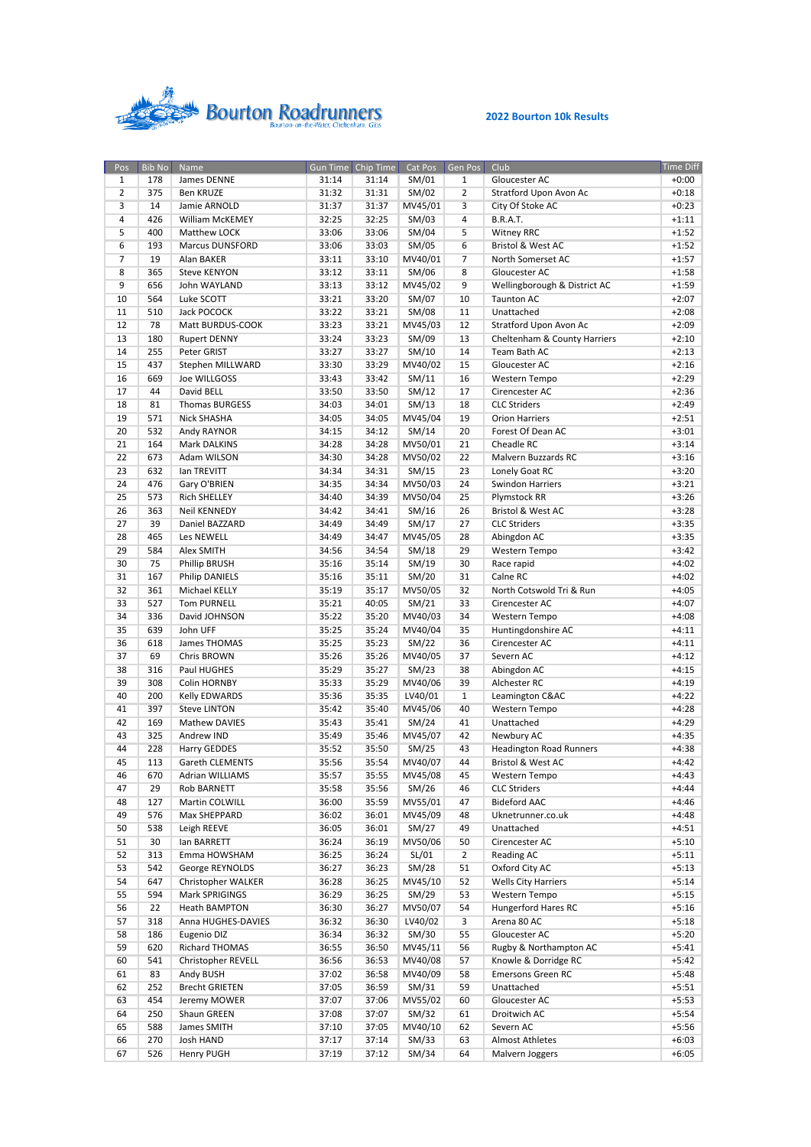

| Pos             | <b>Bib No</b> | Name                                 |       | Gun Time Chip Time |         | Cat Pos Gen Pos | Club                           | <b>Time Diff</b> |
|-----------------|---------------|--------------------------------------|-------|--------------------|---------|-----------------|--------------------------------|------------------|
| $\mathbf{1}$    | 178           | James DENNE                          | 31:14 | 31:14              | SM/01   | 1               | Gloucester AC                  | $+0:00$          |
| $\overline{2}$  | 375           | Ben KRUZE                            | 31:32 | 31:31              | SM/02   | $\overline{2}$  | Stratford Upon Avon Ac         | $+0:18$          |
| 3               | 14            | Jamie ARNOLD                         | 31:37 | 31:37              | MV45/01 | 3               | City Of Stoke AC               | $+0:23$          |
| 4               | 426           | William McKEMEY                      | 32:25 | 32:25              | SM/03   | 4               | <b>B.R.A.T.</b>                | $+1:11$          |
| 5               | 400           | Matthew LOCK                         | 33:06 | 33:06              | SM/04   | 5               | <b>Witney RRC</b>              | $+1:52$          |
|                 |               | <b>Marcus DUNSFORD</b>               |       |                    |         |                 | <b>Bristol &amp; West AC</b>   | $+1:52$          |
| $6\overline{6}$ | 193           |                                      | 33:06 | 33:03              | SM/05   | 6               |                                |                  |
| $\overline{7}$  | 19            | Alan BAKER                           | 33:11 | 33:10              | MV40/01 | $\overline{7}$  | North Somerset AC              | $+1:57$          |
| 8               | 365           | <b>Steve KENYON</b>                  | 33:12 | 33:11              | SM/06   | 8               | Gloucester AC                  | $+1:58$          |
| 9               | 656           | John WAYLAND                         | 33:13 | 33:12              | MV45/02 | 9               | Wellingborough & District AC   | $+1:59$          |
| 10              | 564           | Luke SCOTT                           | 33:21 | 33:20              | SM/07   | 10              | <b>Taunton AC</b>              | $+2:07$          |
| 11              | 510           | Jack POCOCK                          | 33:22 | 33:21              | SM/08   | 11              | Unattached                     | $+2:08$          |
| 12              | 78            | Matt BURDUS-COOK                     | 33:23 | 33:21              | MV45/03 | 12              | Stratford Upon Avon Ac         | $+2:09$          |
| 13              | 180           | <b>Rupert DENNY</b>                  | 33:24 | 33:23              | SM/09   | 13              | Cheltenham & County Harriers   | $+2:10$          |
| 14              | 255           | Peter GRIST                          | 33:27 | 33:27              | SM/10   | 14              | Team Bath AC                   | $+2:13$          |
| 15              | 437           | Stephen MILLWARD                     | 33:30 | 33:29              | MV40/02 | 15              | Gloucester AC                  | $+2:16$          |
| 16              | 669           | Joe WILLGOSS                         | 33:43 | 33:42              | SM/11   | 16              | Western Tempo                  | $+2:29$          |
|                 | 44            | David BELL                           |       |                    |         |                 |                                |                  |
| 17              |               |                                      | 33:50 | 33:50              | SM/12   | 17              | Cirencester AC                 | $+2:36$          |
| 18              | 81            | Thomas BURGESS                       | 34:03 | 34:01              | SM/13   | 18              | <b>CLC Striders</b>            | $+2:49$          |
| 19              | 571           | Nick SHASHA                          | 34:05 | 34:05              | MV45/04 | 19              | <b>Orion Harriers</b>          | $+2:51$          |
| 20              | 532           | Andy RAYNOR                          | 34:15 | 34:12              | SM/14   | 20              | Forest Of Dean AC              | $+3:01$          |
| 21              | 164           | Mark DALKINS                         | 34:28 | 34:28              | MV50/01 | 21              | Cheadle RC                     | $+3:14$          |
| 22              | 673           | Adam WILSON                          | 34:30 | 34:28              | MV50/02 | 22              | Malvern Buzzards RC            | $+3:16$          |
| 23              | 632           | lan TREVITT                          | 34:34 | 34:31              | SM/15   | 23              | Lonely Goat RC                 | $+3:20$          |
| 24              | 476           | Gary O'BRIEN                         | 34:35 | 34:34              | MV50/03 | 24              | <b>Swindon Harriers</b>        | $+3:21$          |
| 25              | 573           | <b>Rich SHELLEY</b>                  | 34:40 | 34:39              | MV50/04 | 25              | Plymstock RR                   | $+3:26$          |
| 26              | 363           | <b>Neil KENNEDY</b>                  | 34:42 | 34:41              | SM/16   | 26              | Bristol & West AC              | $+3:28$          |
| 27              | 39            | Daniel BAZZARD                       | 34:49 | 34:49              | SM/17   | 27              | <b>CLC Striders</b>            | $+3:35$          |
|                 |               |                                      |       |                    |         |                 |                                |                  |
| 28              | 465           | Les NEWELL                           | 34:49 | 34:47              | MV45/05 | 28              | Abingdon AC                    | $+3:35$          |
| 29              | 584           | Alex SMITH                           | 34:56 | 34:54              | SM/18   | 29              | Western Tempo                  | $+3:42$          |
| 30              | 75            | Phillip BRUSH                        | 35:16 | 35:14              | SM/19   | 30              | Race rapid                     | $+4:02$          |
| 31              | 167           | Philip DANIELS                       | 35:16 | 35:11              | SM/20   | 31              | Calne RC                       | $+4:02$          |
| 32              | 361           | Michael KELLY                        | 35:19 | 35:17              | MV50/05 | 32              | North Cotswold Tri & Run       | $+4:05$          |
| 33              | 527           | <b>Tom PURNELL</b>                   | 35:21 | 40:05              | SM/21   | 33              | Cirencester AC                 | $+4:07$          |
| 34              | 336           | David JOHNSON                        | 35:22 | 35:20              | MV40/03 | 34              | Western Tempo                  | $+4:08$          |
| 35              | 639           | John UFF                             | 35:25 | 35:24              | MV40/04 | 35              | Huntingdonshire AC             | $+4:11$          |
| 36              | 618           | James THOMAS                         | 35:25 | 35:23              | SM/22   | 36              | Cirencester AC                 | $+4:11$          |
| 37              | 69            | Chris BROWN                          | 35:26 | 35:26              | MV40/05 | 37              | Severn AC                      | $+4:12$          |
| 38              | 316           | Paul HUGHES                          | 35:29 | 35:27              | SM/23   | 38              | Abingdon AC                    | $+4:15$          |
| 39              | 308           | Colin HORNBY                         | 35:33 | 35:29              | MV40/06 | 39              | Alchester RC                   | $+4:19$          |
| 40              | 200           |                                      |       | 35:35              |         |                 |                                | $+4:22$          |
|                 |               | Kelly EDWARDS<br><b>Steve LINTON</b> | 35:36 |                    | LV40/01 | $\mathbf{1}$    | Leamington C&AC                |                  |
| 41              | 397           |                                      | 35:42 | 35:40              | MV45/06 | 40              | Western Tempo                  | $+4:28$          |
| 42              | 169           | <b>Mathew DAVIES</b>                 | 35:43 | 35:41              | SM/24   | 41              | Unattached                     | $+4:29$          |
| 43              | 325           | Andrew IND                           | 35:49 | 35:46              | MV45/07 | 42              | Newbury AC                     | $+4:35$          |
| 44              | 228           | Harry GEDDES                         | 35:52 | 35:50              | SM/25   | 43              | <b>Headington Road Runners</b> | $+4:38$          |
| 45              | 113           | <b>Gareth CLEMENTS</b>               | 35:56 | 35:54              | MV40/07 | 44              | Bristol & West AC              | $+4:42$          |
| 46              | 670           | Adrian WILLIAMS                      | 35:57 | 35:55              | MV45/08 | 45              | Western Tempo                  | $+4:43$          |
| 47              | 29            | Rob BARNETT                          | 35:58 | 35:56              | SM/26   | 46              | <b>CLC Striders</b>            | $+4:44$          |
| 48              | 127           | Martin COLWILL                       | 36:00 | 35:59              | MV55/01 | 47              | <b>Bideford AAC</b>            | $+4:46$          |
| 49              | 576           | Max SHEPPARD                         | 36:02 | 36:01              | MV45/09 | 48              | Uknetrunner.co.uk              | +4:48            |
| 50              | 538           | Leigh REEVE                          | 36:05 | 36:01              | SM/27   | 49              | Unattached                     | +4:51            |
| 51              | 30            | lan BARRETT                          | 36:24 | 36:19              | MV50/06 | 50              | Cirencester AC                 | $+5:10$          |
| 52              | 313           | Emma HOWSHAM                         | 36:25 | 36:24              | SL/01   | $\overline{2}$  | Reading AC                     | $+5:11$          |
|                 | 542           |                                      |       |                    | SM/28   |                 |                                |                  |
| 53              |               | George REYNOLDS                      | 36:27 | 36:23              |         | 51              | Oxford City AC                 | $+5:13$          |
| 54              | 647           | Christopher WALKER                   | 36:28 | 36:25              | MV45/10 | 52              | <b>Wells City Harriers</b>     | $+5:14$          |
| 55              | 594           | Mark SPRIGINGS                       | 36:29 | 36:25              | SM/29   | 53              | Western Tempo                  | $+5:15$          |
| 56              | 22            | <b>Heath BAMPTON</b>                 | 36:30 | 36:27              | MV50/07 | 54              | Hungerford Hares RC            | $+5:16$          |
| 57              | 318           | Anna HUGHES-DAVIES                   | 36:32 | 36:30              | LV40/02 | 3               | Arena 80 AC                    | +5:18            |
| 58              | 186           | Eugenio DIZ                          | 36:34 | 36:32              | SM/30   | 55              | Gloucester AC                  | $+5:20$          |
| 59              | 620           | Richard THOMAS                       | 36:55 | 36:50              | MV45/11 | 56              | Rugby & Northampton AC         | $+5:41$          |
| 60              | 541           | Christopher REVELL                   | 36:56 | 36:53              | MV40/08 | 57              | Knowle & Dorridge RC           | +5:42            |
| 61              | 83            | Andy BUSH                            | 37:02 | 36:58              | MV40/09 | 58              | <b>Emersons Green RC</b>       | $+5:48$          |
| 62              | 252           | <b>Brecht GRIETEN</b>                | 37:05 | 36:59              | SM/31   | 59              | Unattached                     | $+5:51$          |
| 63              | 454           | Jeremy MOWER                         | 37:07 | 37:06              | MV55/02 | 60              | Gloucester AC                  | $+5:53$          |
| 64              | 250           | Shaun GREEN                          | 37:08 | 37:07              | SM/32   | 61              | Droitwich AC                   | $+5:54$          |
| 65              | 588           | James SMITH                          | 37:10 | 37:05              | MV40/10 | 62              | Severn AC                      | +5:56            |
| 66              |               |                                      |       |                    |         |                 |                                |                  |
|                 | 270           | Josh HAND                            | 37:17 | 37:14              | SM/33   | 63              | Almost Athletes                | $+6:03$          |
| 67              | 526           | Henry PUGH                           | 37:19 | 37:12              | SM/34   | 64              | Malvern Joggers                | +6:05            |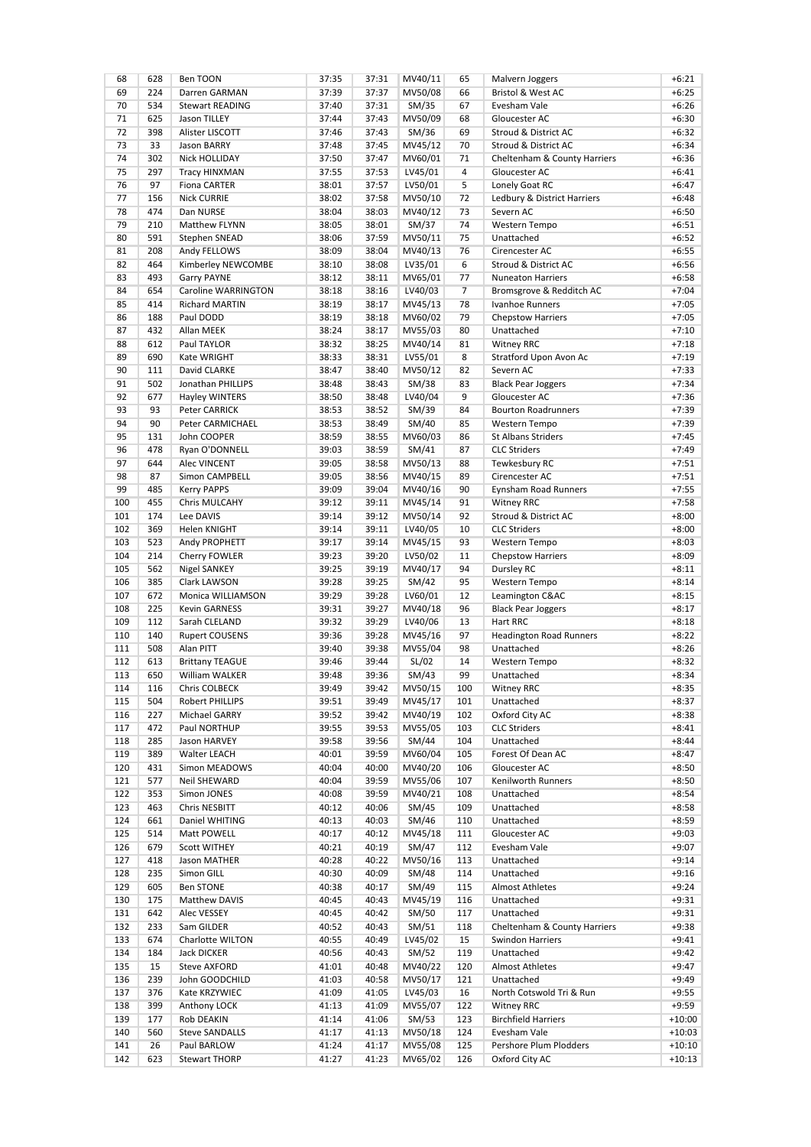| 68  | 628 | Ben TOON               | 37:35 | 37:31 | MV40/11 | 65              | Malvern Joggers                | $+6:21$  |
|-----|-----|------------------------|-------|-------|---------|-----------------|--------------------------------|----------|
| 69  | 224 | Darren GARMAN          | 37:39 | 37:37 | MV50/08 | 66              | Bristol & West AC              | $+6:25$  |
| 70  | 534 | <b>Stewart READING</b> | 37:40 | 37:31 | SM/35   | 67              | Evesham Vale                   | $+6:26$  |
| 71  | 625 | Jason TILLEY           | 37:44 | 37:43 | MV50/09 | 68              | Gloucester AC                  | $+6:30$  |
| 72  | 398 | Alister LISCOTT        | 37:46 | 37:43 | SM/36   | 69              | Stroud & District AC           | $+6:32$  |
| 73  | 33  | Jason BARRY            | 37:48 | 37:45 | MV45/12 | 70              | Stroud & District AC           | $+6:34$  |
|     |     |                        |       |       |         |                 |                                |          |
| 74  | 302 | <b>Nick HOLLIDAY</b>   | 37:50 | 37:47 | MV60/01 | 71              | Cheltenham & County Harriers   | $+6:36$  |
| 75  | 297 | Tracy HINXMAN          | 37:55 | 37:53 | LV45/01 | 4               | Gloucester AC                  | $+6:41$  |
| 76  | 97  | <b>Fiona CARTER</b>    | 38:01 | 37:57 | LV50/01 | 5               | Lonely Goat RC                 | $+6:47$  |
| 77  | 156 | <b>Nick CURRIE</b>     | 38:02 | 37:58 | MV50/10 | 72              | Ledbury & District Harriers    | $+6:48$  |
| 78  | 474 | Dan NURSE              | 38:04 | 38:03 | MV40/12 | 73              | Severn AC                      | $+6:50$  |
| 79  | 210 | <b>Matthew FLYNN</b>   | 38:05 | 38:01 | SM/37   | 74              | Western Tempo                  | $+6:51$  |
| 80  | 591 | Stephen SNEAD          | 38:06 | 37:59 | MV50/11 | 75              | Unattached                     | $+6:52$  |
| 81  | 208 |                        | 38:09 | 38:04 |         | 76              | Cirencester AC                 | $+6:55$  |
|     |     | Andy FELLOWS           |       |       | MV40/13 |                 |                                |          |
| 82  | 464 | Kimberley NEWCOMBE     | 38:10 | 38:08 | LV35/01 | $6\overline{6}$ | Stroud & District AC           | $+6:56$  |
| 83  | 493 | <b>Garry PAYNE</b>     | 38:12 | 38:11 | MV65/01 | 77              | <b>Nuneaton Harriers</b>       | $+6:58$  |
| 84  | 654 | Caroline WARRINGTON    | 38:18 | 38:16 | LV40/03 | 7               | Bromsgrove & Redditch AC       | $+7:04$  |
| 85  | 414 | <b>Richard MARTIN</b>  | 38:19 | 38:17 | MV45/13 | 78              | Ivanhoe Runners                | $+7:05$  |
| 86  | 188 | Paul DODD              | 38:19 | 38:18 | MV60/02 | 79              | <b>Chepstow Harriers</b>       | $+7:05$  |
| 87  | 432 | Allan MEEK             | 38:24 | 38:17 | MV55/03 | 80              | Unattached                     | $+7:10$  |
| 88  | 612 | Paul TAYLOR            | 38:32 | 38:25 | MV40/14 | 81              | <b>Witney RRC</b>              | $+7:18$  |
| 89  | 690 |                        | 38:33 | 38:31 |         | 8               | Stratford Upon Avon Ac         | $+7:19$  |
|     |     | Kate WRIGHT            |       |       | LV55/01 |                 |                                |          |
| 90  | 111 | David CLARKE           | 38:47 | 38:40 | MV50/12 | 82              | Severn AC                      | $+7:33$  |
| 91  | 502 | Jonathan PHILLIPS      | 38:48 | 38:43 | SM/38   | 83              | <b>Black Pear Joggers</b>      | $+7:34$  |
| 92  | 677 | Hayley WINTERS         | 38:50 | 38:48 | LV40/04 | 9               | Gloucester AC                  | $+7:36$  |
| 93  | 93  | Peter CARRICK          | 38:53 | 38:52 | SM/39   | 84              | <b>Bourton Roadrunners</b>     | $+7:39$  |
| 94  | 90  | Peter CARMICHAEL       | 38:53 | 38:49 | SM/40   | 85              | Western Tempo                  | $+7:39$  |
| 95  | 131 | John COOPER            | 38:59 | 38:55 | MV60/03 | 86              | <b>St Albans Striders</b>      | $+7:45$  |
| 96  | 478 | Ryan O'DONNELL         | 39:03 | 38:59 | SM/41   | 87              | <b>CLC Striders</b>            | +7:49    |
|     |     |                        |       |       |         |                 |                                |          |
| 97  | 644 | <b>Alec VINCENT</b>    | 39:05 | 38:58 | MV50/13 | 88              | Tewkesbury RC                  | $+7:51$  |
| 98  | 87  | Simon CAMPBELL         | 39:05 | 38:56 | MV40/15 | 89              | Cirencester AC                 | $+7:51$  |
| 99  | 485 | <b>Kerry PAPPS</b>     | 39:09 | 39:04 | MV40/16 | 90              | <b>Eynsham Road Runners</b>    | $+7:55$  |
| 100 | 455 | Chris MULCAHY          | 39:12 | 39:11 | MV45/14 | 91              | Witney RRC                     | $+7:58$  |
| 101 | 174 | Lee DAVIS              | 39:14 | 39:12 | MV50/14 | 92              | Stroud & District AC           | $+8:00$  |
| 102 | 369 | Helen KNIGHT           | 39:14 | 39:11 | LV40/05 | 10              | <b>CLC Striders</b>            | $+8:00$  |
| 103 | 523 | Andy PROPHETT          | 39:17 | 39:14 | MV45/15 | 93              | Western Tempo                  | $+8:03$  |
| 104 | 214 |                        | 39:23 | 39:20 |         | 11              |                                | $+8:09$  |
|     |     | Cherry FOWLER          |       |       | LV50/02 |                 | <b>Chepstow Harriers</b>       |          |
| 105 | 562 | Nigel SANKEY           | 39:25 | 39:19 | MV40/17 | 94              | Dursley RC                     | $+8:11$  |
| 106 | 385 | Clark LAWSON           | 39:28 | 39:25 | SM/42   | 95              | Western Tempo                  | $+8:14$  |
| 107 | 672 | Monica WILLIAMSON      | 39:29 | 39:28 | LV60/01 | 12              | Leamington C&AC                | $+8:15$  |
| 108 | 225 | <b>Kevin GARNESS</b>   | 39:31 | 39:27 | MV40/18 | 96              | <b>Black Pear Joggers</b>      | $+8:17$  |
| 109 | 112 | Sarah CLELAND          | 39:32 | 39:29 | LV40/06 | 13              | Hart RRC                       | $+8:18$  |
| 110 | 140 | <b>Rupert COUSENS</b>  | 39:36 | 39:28 | MV45/16 | 97              | <b>Headington Road Runners</b> | $+8:22$  |
| 111 | 508 | Alan PITT              | 39:40 | 39:38 | MV55/04 | 98              | Unattached                     | $+8:26$  |
| 112 | 613 | <b>Brittany TEAGUE</b> | 39:46 | 39:44 |         | 14              |                                | +8:32    |
|     |     |                        |       |       | SL/02   |                 | Western Tempo                  |          |
| 113 | 650 | William WALKER         | 39:48 | 39:36 | SM/43   | 99              | Unattached                     | $+8:34$  |
| 114 | 116 | Chris COLBECK          | 39:49 | 39:42 | MV50/15 | 100             | Witney RRC                     | +8:35    |
| 115 | 504 | Robert PHILLIPS        | 39:51 | 39:49 | MV45/17 | 101             | Unattached                     | $+8:37$  |
| 116 | 227 | Michael GARRY          | 39:52 | 39:42 | MV40/19 | 102             | Oxford City AC                 | $+8:38$  |
| 117 | 472 | Paul NORTHUP           | 39:55 | 39:53 | MV55/05 | 103             | <b>CLC Striders</b>            | $+8:41$  |
| 118 | 285 | Jason HARVEY           | 39:58 | 39:56 | SM/44   | 104             | Unattached                     | $+8:44$  |
| 119 | 389 | Walter LEACH           | 40:01 | 39:59 | MV60/04 | 105             | Forest Of Dean AC              | $+8:47$  |
|     |     |                        |       |       |         |                 |                                |          |
| 120 | 431 | Simon MEADOWS          | 40:04 | 40:00 | MV40/20 | 106             | Gloucester AC                  | $+8:50$  |
| 121 | 577 | <b>Neil SHEWARD</b>    | 40:04 | 39:59 | MV55/06 | 107             | Kenilworth Runners             | $+8:50$  |
| 122 | 353 | Simon JONES            | 40:08 | 39:59 | MV40/21 | 108             | Unattached                     | $+8:54$  |
| 123 | 463 | Chris NESBITT          | 40:12 | 40:06 | SM/45   | 109             | Unattached                     | $+8:58$  |
| 124 | 661 | Daniel WHITING         | 40:13 | 40:03 | SM/46   | 110             | Unattached                     | $+8:59$  |
| 125 | 514 | Matt POWELL            | 40:17 | 40:12 | MV45/18 | 111             | Gloucester AC                  | $+9:03$  |
| 126 | 679 | Scott WITHEY           | 40:21 | 40:19 | SM/47   | 112             | Evesham Vale                   | $+9:07$  |
| 127 |     | Jason MATHER           |       |       | MV50/16 |                 |                                |          |
|     | 418 |                        | 40:28 | 40:22 |         | 113             | Unattached                     | $+9:14$  |
| 128 | 235 | Simon GILL             | 40:30 | 40:09 | SM/48   | 114             | Unattached                     | $+9:16$  |
| 129 | 605 | <b>Ben STONE</b>       | 40:38 | 40:17 | SM/49   | 115             | Almost Athletes                | $+9:24$  |
| 130 | 175 | Matthew DAVIS          | 40:45 | 40:43 | MV45/19 | 116             | Unattached                     | $+9:31$  |
| 131 | 642 | Alec VESSEY            | 40:45 | 40:42 | SM/50   | 117             | Unattached                     | $+9:31$  |
| 132 | 233 | Sam GILDER             | 40:52 | 40:43 | SM/51   | 118             | Cheltenham & County Harriers   | $+9:38$  |
| 133 | 674 | Charlotte WILTON       | 40:55 | 40:49 | LV45/02 | 15              | <b>Swindon Harriers</b>        | $+9:41$  |
| 134 | 184 | Jack DICKER            | 40:56 | 40:43 | SM/52   | 119             | Unattached                     | $+9:42$  |
|     |     |                        |       |       |         |                 |                                |          |
| 135 | 15  | Steve AXFORD           | 41:01 | 40:48 | MV40/22 | 120             | <b>Almost Athletes</b>         | $+9:47$  |
| 136 | 239 | John GOODCHILD         | 41:03 | 40:58 | MV50/17 | 121             | Unattached                     | $+9:49$  |
| 137 | 376 | Kate KRZYWIEC          | 41:09 | 41:05 | LV45/03 | 16              | North Cotswold Tri & Run       | $+9:55$  |
| 138 | 399 | Anthony LOCK           | 41:13 | 41:09 | MV55/07 | 122             | Witney RRC                     | $+9:59$  |
| 139 | 177 | Rob DEAKIN             | 41:14 | 41:06 | SM/53   | 123             | <b>Birchfield Harriers</b>     | $+10:00$ |
| 140 | 560 | <b>Steve SANDALLS</b>  | 41:17 | 41:13 | MV50/18 | 124             | Evesham Vale                   | $+10:03$ |
| 141 | 26  | Paul BARLOW            | 41:24 | 41:17 | MV55/08 | 125             | Pershore Plum Plodders         | $+10:10$ |
| 142 |     |                        |       |       |         |                 |                                |          |
|     | 623 | <b>Stewart THORP</b>   | 41:27 | 41:23 | MV65/02 | 126             | Oxford City AC                 | $+10:13$ |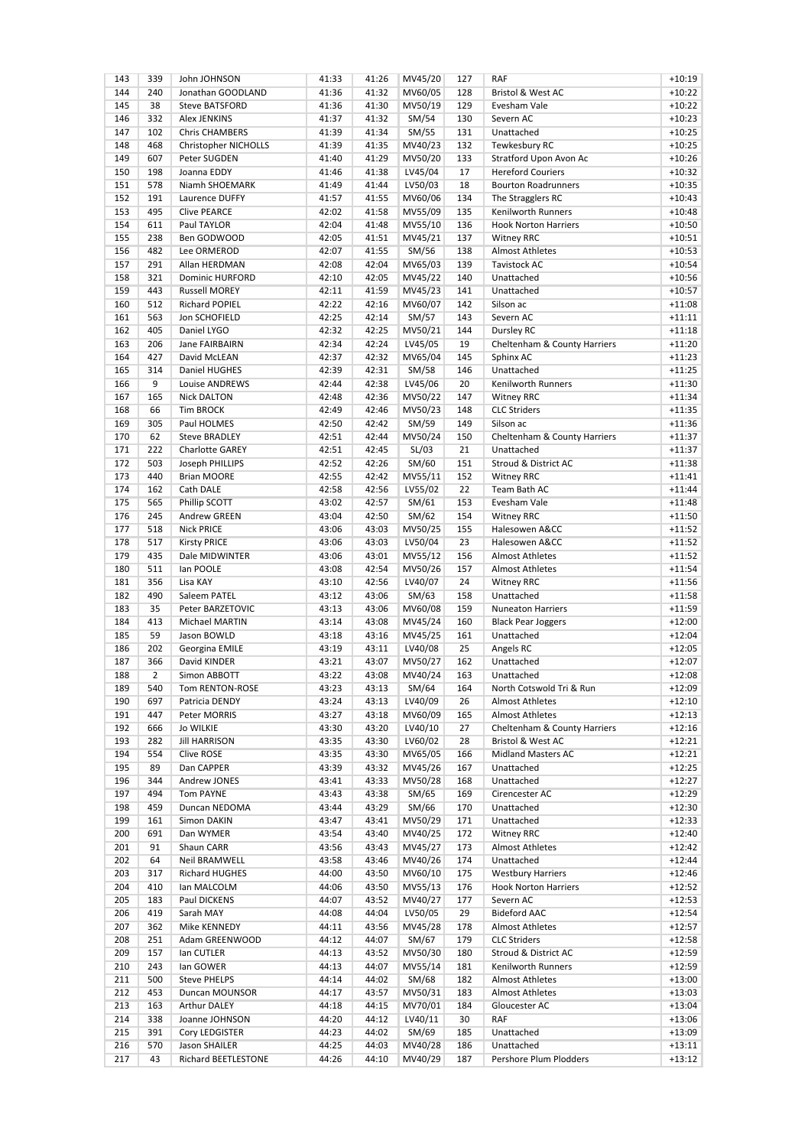| 143 | 339            | John JOHNSON           | 41:33 | 41:26 | MV45/20 | 127 | RAF                          | $+10:19$ |
|-----|----------------|------------------------|-------|-------|---------|-----|------------------------------|----------|
| 144 | 240            | Jonathan GOODLAND      | 41:36 | 41:32 | MV60/05 | 128 | Bristol & West AC            | $+10:22$ |
| 145 | 38             | <b>Steve BATSFORD</b>  | 41:36 | 41:30 | MV50/19 | 129 | Evesham Vale                 | $+10:22$ |
| 146 | 332            | <b>Alex JENKINS</b>    | 41:37 | 41:32 | SM/54   | 130 | Severn AC                    | $+10:23$ |
| 147 | 102            | <b>Chris CHAMBERS</b>  | 41:39 | 41:34 | SM/55   | 131 | Unattached                   | $+10:25$ |
| 148 | 468            | Christopher NICHOLLS   | 41:39 | 41:35 | MV40/23 | 132 | Tewkesbury RC                | $+10:25$ |
| 149 | 607            | Peter SUGDEN           | 41:40 | 41:29 | MV50/20 | 133 | Stratford Upon Avon Ac       | $+10:26$ |
| 150 | 198            | Joanna EDDY            | 41:46 | 41:38 | LV45/04 | 17  | <b>Hereford Couriers</b>     | $+10:32$ |
| 151 | 578            | Niamh SHOEMARK         | 41:49 | 41:44 | LV50/03 | 18  | <b>Bourton Roadrunners</b>   | $+10:35$ |
| 152 | 191            | Laurence DUFFY         | 41:57 | 41:55 | MV60/06 | 134 | The Stragglers RC            | $+10:43$ |
| 153 | 495            | <b>Clive PEARCE</b>    | 42:02 | 41:58 | MV55/09 | 135 | Kenilworth Runners           | $+10:48$ |
| 154 | 611            | Paul TAYLOR            | 42:04 | 41:48 | MV55/10 | 136 | <b>Hook Norton Harriers</b>  | $+10:50$ |
| 155 | 238            | Ben GODWOOD            | 42:05 | 41:51 | MV45/21 | 137 | <b>Witney RRC</b>            | $+10:51$ |
| 156 | 482            | Lee ORMEROD            | 42:07 | 41:55 |         | 138 | <b>Almost Athletes</b>       | $+10:53$ |
|     |                |                        |       |       | SM/56   |     |                              |          |
| 157 | 291            | Allan HERDMAN          | 42:08 | 42:04 | MV65/03 | 139 | <b>Tavistock AC</b>          | $+10:54$ |
| 158 | 321            | <b>Dominic HURFORD</b> | 42:10 | 42:05 | MV45/22 | 140 | Unattached                   | $+10:56$ |
| 159 | 443            | <b>Russell MOREY</b>   | 42:11 | 41:59 | MV45/23 | 141 | Unattached                   | $+10:57$ |
| 160 | 512            | <b>Richard POPIEL</b>  | 42:22 | 42:16 | MV60/07 | 142 | Silson ac                    | $+11:08$ |
| 161 | 563            | Jon SCHOFIELD          | 42:25 | 42:14 | SM/57   | 143 | Severn AC                    | $+11:11$ |
| 162 | 405            | Daniel LYGO            | 42:32 | 42:25 | MV50/21 | 144 | Dursley RC                   | $+11:18$ |
| 163 | 206            | Jane FAIRBAIRN         | 42:34 | 42:24 | LV45/05 | 19  | Cheltenham & County Harriers | $+11:20$ |
| 164 | 427            | David McLEAN           | 42:37 | 42:32 | MV65/04 | 145 | Sphinx AC                    | $+11:23$ |
| 165 | 314            | Daniel HUGHES          | 42:39 | 42:31 | SM/58   | 146 | Unattached                   | $+11:25$ |
| 166 | 9              | Louise ANDREWS         | 42:44 | 42:38 | LV45/06 | 20  | Kenilworth Runners           | $+11:30$ |
| 167 | 165            | <b>Nick DALTON</b>     | 42:48 | 42:36 | MV50/22 | 147 | <b>Witney RRC</b>            | $+11:34$ |
| 168 | 66             | <b>Tim BROCK</b>       | 42:49 | 42:46 | MV50/23 | 148 | <b>CLC Striders</b>          | $+11:35$ |
| 169 | 305            | Paul HOLMES            | 42:50 | 42:42 | SM/59   | 149 | Silson ac                    | $+11:36$ |
| 170 | 62             | <b>Steve BRADLEY</b>   | 42:51 | 42:44 | MV50/24 | 150 | Cheltenham & County Harriers | $+11:37$ |
| 171 | 222            | <b>Charlotte GAREY</b> | 42:51 | 42:45 | SL/03   | 21  | Unattached                   | $+11:37$ |
| 172 | 503            | Joseph PHILLIPS        | 42:52 | 42:26 | SM/60   | 151 | Stroud & District AC         | $+11:38$ |
| 173 | 440            | <b>Brian MOORE</b>     | 42:55 | 42:42 | MV55/11 | 152 | <b>Witney RRC</b>            | $+11:41$ |
| 174 | 162            | Cath DALE              | 42:58 | 42:56 | LV55/02 | 22  | Team Bath AC                 | $+11:44$ |
| 175 | 565            | Phillip SCOTT          | 43:02 | 42:57 | SM/61   | 153 | Evesham Vale                 | $+11:48$ |
| 176 | 245            | Andrew GREEN           | 43:04 | 42:50 | SM/62   | 154 | <b>Witney RRC</b>            | $+11:50$ |
|     | 518            |                        | 43:06 | 43:03 |         | 155 | Halesowen A&CC               | $+11:52$ |
| 177 |                | <b>Nick PRICE</b>      |       |       | MV50/25 |     |                              |          |
| 178 | 517            | <b>Kirsty PRICE</b>    | 43:06 | 43:03 | LV50/04 | 23  | Halesowen A&CC               | $+11:52$ |
| 179 | 435            | Dale MIDWINTER         | 43:06 | 43:01 | MV55/12 | 156 | <b>Almost Athletes</b>       | $+11:52$ |
| 180 | 511            | lan POOLE              | 43:08 | 42:54 | MV50/26 | 157 | <b>Almost Athletes</b>       | $+11:54$ |
| 181 | 356            | Lisa KAY               | 43:10 | 42:56 | LV40/07 | 24  | <b>Witney RRC</b>            | $+11:56$ |
| 182 | 490            | Saleem PATEL           | 43:12 | 43:06 | SM/63   | 158 | Unattached                   | $+11:58$ |
| 183 | 35             | Peter BARZETOVIC       | 43:13 | 43:06 | MV60/08 | 159 | <b>Nuneaton Harriers</b>     | $+11:59$ |
| 184 | 413            | Michael MARTIN         | 43:14 | 43:08 | MV45/24 | 160 | <b>Black Pear Joggers</b>    | $+12:00$ |
| 185 | 59             | Jason BOWLD            | 43:18 | 43:16 | MV45/25 | 161 | Unattached                   | $+12:04$ |
| 186 | 202            | Georgina EMILE         | 43:19 | 43:11 | LV40/08 | 25  | Angels RC                    | $+12:05$ |
| 187 | 366            | David KINDER           | 43:21 | 43:07 | MV50/27 | 162 | Unattached                   | $+12:07$ |
| 188 | $\overline{2}$ | Simon ABBOTT           | 43:22 | 43:08 | MV40/24 | 163 | Unattached                   | $+12:08$ |
| 189 | 540            | Tom RENTON-ROSE        | 43:23 | 43:13 | SM/64   | 164 | North Cotswold Tri & Run     | $+12:09$ |
| 190 | 697            | Patricia DENDY         | 43:24 | 43:13 | LV40/09 | 26  | Almost Athletes              | $+12:10$ |
| 191 | 447            | Peter MORRIS           | 43:27 | 43:18 | MV60/09 | 165 | <b>Almost Athletes</b>       | $+12:13$ |
| 192 | 666            | <b>Jo WILKIE</b>       | 43:30 | 43:20 | LV40/10 | 27  | Cheltenham & County Harriers | $+12:16$ |
| 193 | 282            | <b>Jill HARRISON</b>   | 43:35 | 43:30 | LV60/02 | 28  | <b>Bristol &amp; West AC</b> | $+12:21$ |
| 194 | 554            | Clive ROSE             | 43:35 | 43:30 | MV65/05 | 166 | Midland Masters AC           | $+12:21$ |
| 195 | 89             | Dan CAPPER             | 43:39 | 43:32 | MV45/26 | 167 | Unattached                   | $+12:25$ |
| 196 | 344            | Andrew JONES           | 43:41 | 43:33 | MV50/28 | 168 | Unattached                   | $+12:27$ |
| 197 | 494            | <b>Tom PAYNE</b>       | 43:43 | 43:38 | SM/65   | 169 | Cirencester AC               | $+12:29$ |
|     |                |                        |       |       |         |     |                              |          |
| 198 | 459            | Duncan NEDOMA          | 43:44 | 43:29 | SM/66   | 170 | Unattached                   | $+12:30$ |
| 199 | 161            | Simon DAKIN            | 43:47 | 43:41 | MV50/29 | 171 | Unattached                   | $+12:33$ |
| 200 | 691            | Dan WYMER              | 43:54 | 43:40 | MV40/25 | 172 | <b>Witney RRC</b>            | $+12:40$ |
| 201 | 91             | Shaun CARR             | 43:56 | 43:43 | MV45/27 | 173 | Almost Athletes              | $+12:42$ |
| 202 | 64             | Neil BRAMWELL          | 43:58 | 43:46 | MV40/26 | 174 | Unattached                   | $+12:44$ |
| 203 | 317            | Richard HUGHES         | 44:00 | 43:50 | MV60/10 | 175 | <b>Westbury Harriers</b>     | $+12:46$ |
| 204 | 410            | Ian MALCOLM            | 44:06 | 43:50 | MV55/13 | 176 | <b>Hook Norton Harriers</b>  | $+12:52$ |
| 205 | 183            | Paul DICKENS           | 44:07 | 43:52 | MV40/27 | 177 | Severn AC                    | $+12:53$ |
| 206 | 419            | Sarah MAY              | 44:08 | 44:04 | LV50/05 | 29  | <b>Bideford AAC</b>          | $+12:54$ |
| 207 | 362            | Mike KENNEDY           | 44:11 | 43:56 | MV45/28 | 178 | Almost Athletes              | $+12:57$ |
| 208 | 251            | Adam GREENWOOD         | 44:12 | 44:07 | SM/67   | 179 | <b>CLC Striders</b>          | $+12:58$ |
| 209 | 157            | lan CUTLER             | 44:13 | 43:52 | MV50/30 | 180 | Stroud & District AC         | $+12:59$ |
| 210 | 243            | lan GOWER              | 44:13 | 44:07 | MV55/14 | 181 | Kenilworth Runners           | $+12:59$ |
| 211 | 500            | <b>Steve PHELPS</b>    | 44:14 | 44:02 | SM/68   | 182 | <b>Almost Athletes</b>       | $+13:00$ |
| 212 | 453            | Duncan MOUNSOR         | 44:17 | 43:57 | MV50/31 | 183 | Almost Athletes              | $+13:03$ |
| 213 | 163            | Arthur DALEY           | 44:18 | 44:15 | MV70/01 | 184 | Gloucester AC                | $+13:04$ |
| 214 | 338            | Joanne JOHNSON         | 44:20 | 44:12 | LV40/11 | 30  | <b>RAF</b>                   | $+13:06$ |
| 215 | 391            | Cory LEDGISTER         | 44:23 | 44:02 | SM/69   | 185 | Unattached                   | $+13:09$ |
| 216 | 570            | Jason SHAILER          | 44:25 | 44:03 | MV40/28 | 186 | Unattached                   | $+13:11$ |
| 217 | 43             | Richard BEETLESTONE    | 44:26 | 44:10 | MV40/29 | 187 | Pershore Plum Plodders       | $+13:12$ |
|     |                |                        |       |       |         |     |                              |          |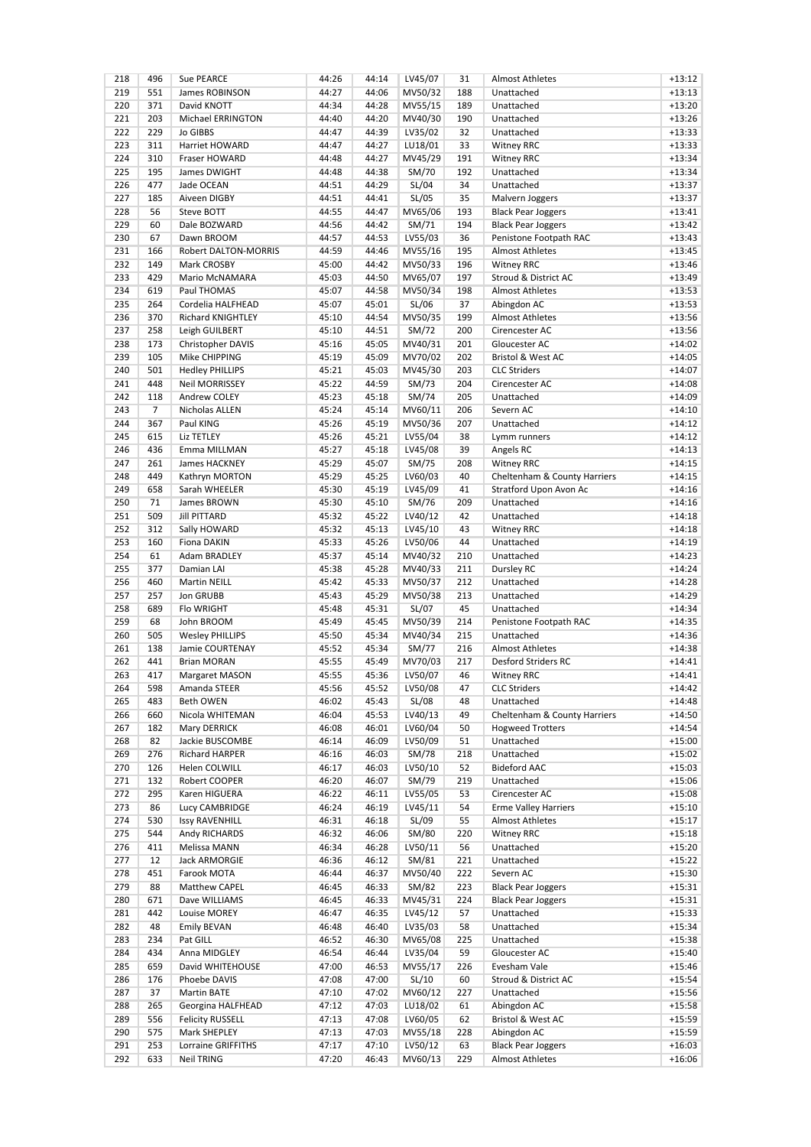| 218        | 496 | Sue PEARCE               | 44:26 | 44:14 | LV45/07 | 31  | <b>Almost Athletes</b>       | $+13:12$ |
|------------|-----|--------------------------|-------|-------|---------|-----|------------------------------|----------|
| 219        | 551 | James ROBINSON           | 44:27 | 44:06 | MV50/32 | 188 | Unattached                   | $+13:13$ |
| 220        | 371 | David KNOTT              | 44:34 | 44:28 | MV55/15 | 189 | Unattached                   | $+13:20$ |
| 221        | 203 | Michael ERRINGTON        | 44:40 | 44:20 | MV40/30 | 190 | Unattached                   | $+13:26$ |
| 222        | 229 | <b>Jo GIBBS</b>          | 44:47 | 44:39 | LV35/02 | 32  | Unattached                   | $+13:33$ |
| 223        | 311 | Harriet HOWARD           | 44:47 | 44:27 | LU18/01 | 33  | <b>Witney RRC</b>            | $+13:33$ |
| 224        | 310 | Fraser HOWARD            | 44:48 | 44:27 | MV45/29 | 191 | <b>Witney RRC</b>            | $+13:34$ |
| 225        | 195 | James DWIGHT             | 44:48 | 44:38 | SM/70   | 192 | Unattached                   | $+13:34$ |
| 226        | 477 | Jade OCEAN               | 44:51 | 44:29 | SL/04   | 34  | Unattached                   | $+13:37$ |
| 227        | 185 | Aiveen DIGBY             | 44:51 | 44:41 | SL/05   | 35  | Malvern Joggers              | $+13:37$ |
| 228        | 56  | Steve BOTT               | 44:55 | 44:47 | MV65/06 | 193 | <b>Black Pear Joggers</b>    | $+13:41$ |
| 229        | 60  | Dale BOZWARD             | 44:56 | 44:42 | SM/71   | 194 | <b>Black Pear Joggers</b>    | $+13:42$ |
| 230        | 67  | Dawn BROOM               | 44:57 | 44:53 | LV55/03 | 36  | Penistone Footpath RAC       | $+13:43$ |
| 231        | 166 |                          |       | 44:46 | MV55/16 |     |                              | $+13:45$ |
|            |     | Robert DALTON-MORRIS     | 44:59 |       |         | 195 | <b>Almost Athletes</b>       |          |
| 232        | 149 | Mark CROSBY              | 45:00 | 44:42 | MV50/33 | 196 | <b>Witney RRC</b>            | $+13:46$ |
| 233        | 429 | Mario McNAMARA           | 45:03 | 44:50 | MV65/07 | 197 | Stroud & District AC         | $+13:49$ |
| 234        | 619 | Paul THOMAS              | 45:07 | 44:58 | MV50/34 | 198 | <b>Almost Athletes</b>       | $+13:53$ |
| 235        | 264 | Cordelia HALFHEAD        | 45:07 | 45:01 | SL/06   | 37  | Abingdon AC                  | $+13:53$ |
| 236        | 370 | <b>Richard KNIGHTLEY</b> | 45:10 | 44:54 | MV50/35 | 199 | <b>Almost Athletes</b>       | $+13:56$ |
| 237        | 258 | Leigh GUILBERT           | 45:10 | 44:51 | SM/72   | 200 | Cirencester AC               | $+13:56$ |
| 238        | 173 | Christopher DAVIS        | 45:16 | 45:05 | MV40/31 | 201 | Gloucester AC                | $+14:02$ |
| 239        | 105 | Mike CHIPPING            | 45:19 | 45:09 | MV70/02 | 202 | <b>Bristol &amp; West AC</b> | $+14:05$ |
| 240        | 501 | <b>Hedley PHILLIPS</b>   | 45:21 | 45:03 | MV45/30 | 203 | <b>CLC Striders</b>          | $+14:07$ |
| 241        | 448 | <b>Neil MORRISSEY</b>    | 45:22 | 44:59 | SM/73   | 204 | Cirencester AC               | $+14:08$ |
| 242        | 118 | Andrew COLEY             | 45:23 | 45:18 | SM/74   | 205 | Unattached                   | $+14:09$ |
| 243        | 7   | Nicholas ALLEN           | 45:24 | 45:14 | MV60/11 | 206 | Severn AC                    | $+14:10$ |
| 244        | 367 | Paul KING                | 45:26 | 45:19 | MV50/36 | 207 | Unattached                   | $+14:12$ |
| 245        | 615 | Liz TETLEY               | 45:26 | 45:21 | LV55/04 | 38  | Lymm runners                 | $+14:12$ |
| 246        | 436 | Emma MILLMAN             | 45:27 | 45:18 | LV45/08 | 39  | Angels RC                    | $+14:13$ |
| 247        | 261 | James HACKNEY            | 45:29 | 45:07 | SM/75   | 208 | <b>Witney RRC</b>            | $+14:15$ |
| 248        | 449 | Kathryn MORTON           | 45:29 | 45:25 | LV60/03 | 40  | Cheltenham & County Harriers | $+14:15$ |
| 249        | 658 | Sarah WHEELER            | 45:30 | 45:19 | LV45/09 | 41  | Stratford Upon Avon Ac       | $+14:16$ |
| 250        | 71  | James BROWN              | 45:30 | 45:10 | SM/76   | 209 | Unattached                   | $+14:16$ |
| 251        | 509 | <b>Jill PITTARD</b>      | 45:32 | 45:22 | LV40/12 | 42  | Unattached                   | $+14:18$ |
| 252        | 312 | Sally HOWARD             | 45:32 | 45:13 | LV45/10 | 43  | <b>Witney RRC</b>            | $+14:18$ |
| 253        | 160 | <b>Fiona DAKIN</b>       | 45:33 | 45:26 | LV50/06 | 44  | Unattached                   | $+14:19$ |
| 254        | 61  | Adam BRADLEY             | 45:37 | 45:14 | MV40/32 | 210 | Unattached                   | $+14:23$ |
| 255        | 377 | Damian LAI               | 45:38 | 45:28 |         | 211 |                              | $+14:24$ |
|            |     |                          |       |       | MV40/33 |     | Dursley RC                   |          |
| 256        | 460 | <b>Martin NEILL</b>      | 45:42 | 45:33 | MV50/37 | 212 | Unattached                   | $+14:28$ |
| 257        | 257 | Jon GRUBB                | 45:43 | 45:29 | MV50/38 | 213 | Unattached                   | $+14:29$ |
| 258        | 689 | Flo WRIGHT               | 45:48 | 45:31 | SL/07   | 45  | Unattached                   | $+14:34$ |
| 259        | 68  | John BROOM               | 45:49 | 45:45 | MV50/39 | 214 | Penistone Footpath RAC       | $+14:35$ |
| 260        | 505 | <b>Wesley PHILLIPS</b>   | 45:50 | 45:34 | MV40/34 | 215 | Unattached                   | $+14:36$ |
| 261        | 138 | Jamie COURTENAY          | 45:52 | 45:34 | SM/77   | 216 | <b>Almost Athletes</b>       | $+14:38$ |
| 262        | 441 | <b>Brian MORAN</b>       | 45:55 | 45:49 | MV70/03 | 217 | Desford Striders RC          | $+14:41$ |
| 263        | 417 | Margaret MASON           | 45:55 | 45:36 | LV50/07 | 46  | <b>Witney RRC</b>            | $+14:41$ |
| 264        | 598 | Amanda STEER             | 45:56 | 45:52 | LV50/08 | 47  | <b>CLC Striders</b>          | $+14:42$ |
| 265        | 483 | Beth OWEN                | 46:02 | 45:43 | SL/08   | 48  | Unattached                   | $+14:48$ |
| 266        | 660 | Nicola WHITEMAN          | 46:04 | 45:53 | LV40/13 | 49  | Cheltenham & County Harriers | $+14:50$ |
| 267        | 182 | Mary DERRICK             | 46:08 | 46:01 | LV60/04 | 50  | <b>Hogweed Trotters</b>      | $+14:54$ |
| 268        | 82  | Jackie BUSCOMBE          | 46:14 | 46:09 | LV50/09 | 51  | Unattached                   | $+15:00$ |
| 269        | 276 | Richard HARPER           | 46:16 | 46:03 | SM/78   | 218 | Unattached                   | $+15:02$ |
| 270        | 126 | Helen COLWILL            | 46:17 | 46:03 | LV50/10 | 52  | <b>Bideford AAC</b>          | $+15:03$ |
| 271        | 132 | Robert COOPER            | 46:20 | 46:07 | SM/79   | 219 | Unattached                   | $+15:06$ |
| 272        | 295 | Karen HIGUERA            | 46:22 | 46:11 | LV55/05 | 53  | Cirencester AC               | $+15:08$ |
| 273        | 86  | Lucy CAMBRIDGE           | 46:24 | 46:19 | LV45/11 | 54  | <b>Erme Valley Harriers</b>  | $+15:10$ |
| 274        | 530 | <b>Issy RAVENHILL</b>    | 46:31 | 46:18 | SL/09   | 55  | <b>Almost Athletes</b>       | $+15:17$ |
| 275        | 544 | Andy RICHARDS            | 46:32 | 46:06 | SM/80   | 220 | <b>Witney RRC</b>            | $+15:18$ |
| 276        | 411 | <b>Melissa MANN</b>      | 46:34 | 46:28 | LV50/11 | 56  | Unattached                   | $+15:20$ |
| 277        | 12  | <b>Jack ARMORGIE</b>     | 46:36 | 46:12 | SM/81   | 221 | Unattached                   | $+15:22$ |
| 278        | 451 | Farook MOTA              | 46:44 | 46:37 | MV50/40 | 222 | Severn AC                    | $+15:30$ |
| 279        | 88  | Matthew CAPEL            | 46:45 | 46:33 | SM/82   | 223 | <b>Black Pear Joggers</b>    | $+15:31$ |
| 280        | 671 | Dave WILLIAMS            | 46:45 | 46:33 | MV45/31 | 224 |                              | $+15:31$ |
|            | 442 |                          |       |       |         | 57  | <b>Black Pear Joggers</b>    | $+15:33$ |
| 281<br>282 |     | Louise MOREY             | 46:47 | 46:35 | LV45/12 |     | Unattached                   |          |
|            | 48  | <b>Emily BEVAN</b>       | 46:48 | 46:40 | LV35/03 | 58  | Unattached                   | $+15:34$ |
| 283        | 234 | Pat GILL                 | 46:52 | 46:30 | MV65/08 | 225 | Unattached                   | $+15:38$ |
| 284        | 434 | Anna MIDGLEY             | 46:54 | 46:44 | LV35/04 | 59  | Gloucester AC                | $+15:40$ |
| 285        | 659 | David WHITEHOUSE         | 47:00 | 46:53 | MV55/17 | 226 | Evesham Vale                 | $+15:46$ |
| 286        | 176 | Phoebe DAVIS             | 47:08 | 47:00 | SL/10   | 60  | Stroud & District AC         | $+15:54$ |
| 287        | 37  | <b>Martin BATE</b>       | 47:10 | 47:02 | MV60/12 | 227 | Unattached                   | $+15:56$ |
| 288        | 265 | Georgina HALFHEAD        | 47:12 | 47:03 | LU18/02 | 61  | Abingdon AC                  | $+15:58$ |
| 289        | 556 | <b>Felicity RUSSELL</b>  | 47:13 | 47:08 | LV60/05 | 62  | Bristol & West AC            | $+15:59$ |
| 290        | 575 | Mark SHEPLEY             | 47:13 | 47:03 | MV55/18 | 228 | Abingdon AC                  | $+15:59$ |
| 291        | 253 | Lorraine GRIFFITHS       | 47:17 | 47:10 | LV50/12 | 63  | <b>Black Pear Joggers</b>    | $+16:03$ |
| 292        | 633 | Neil TRING               | 47:20 | 46:43 | MV60/13 | 229 | <b>Almost Athletes</b>       | $+16:06$ |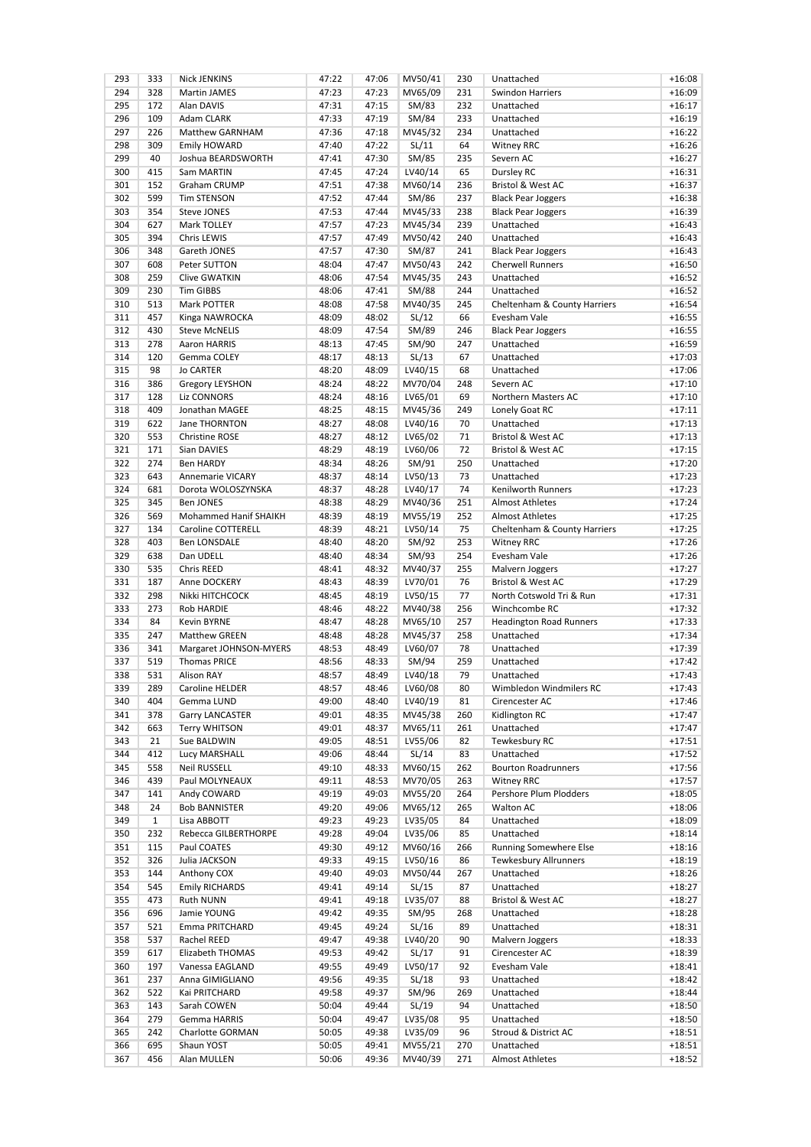| 293 | 333          | <b>Nick JENKINS</b>    | 47:22 | 47:06 | MV50/41 | 230 | Unattached                     | $+16:08$ |
|-----|--------------|------------------------|-------|-------|---------|-----|--------------------------------|----------|
| 294 | 328          | <b>Martin JAMES</b>    | 47:23 | 47:23 | MV65/09 | 231 | <b>Swindon Harriers</b>        | $+16:09$ |
| 295 | 172          | Alan DAVIS             | 47:31 | 47:15 | SM/83   | 232 | Unattached                     | $+16:17$ |
| 296 | 109          | Adam CLARK             | 47:33 | 47:19 | SM/84   | 233 | Unattached                     | $+16:19$ |
| 297 | 226          | Matthew GARNHAM        | 47:36 | 47:18 | MV45/32 | 234 | Unattached                     | $+16:22$ |
| 298 | 309          | Emily HOWARD           | 47:40 | 47:22 | SL/11   | 64  | <b>Witney RRC</b>              | $+16:26$ |
| 299 | 40           | Joshua BEARDSWORTH     | 47:41 | 47:30 | SM/85   | 235 | Severn AC                      | $+16:27$ |
| 300 | 415          | Sam MARTIN             | 47:45 | 47:24 | LV40/14 | 65  | Dursley RC                     | $+16:31$ |
| 301 | 152          | Graham CRUMP           | 47:51 | 47:38 | MV60/14 | 236 | Bristol & West AC              | $+16:37$ |
| 302 | 599          | <b>Tim STENSON</b>     | 47:52 | 47:44 | SM/86   | 237 | <b>Black Pear Joggers</b>      | $+16:38$ |
| 303 | 354          | Steve JONES            | 47:53 | 47:44 | MV45/33 | 238 | <b>Black Pear Joggers</b>      | $+16:39$ |
| 304 | 627          | Mark TOLLEY            | 47:57 | 47:23 | MV45/34 | 239 | Unattached                     | $+16:43$ |
|     |              |                        |       |       |         |     |                                |          |
| 305 | 394          | Chris LEWIS            | 47:57 | 47:49 | MV50/42 | 240 | Unattached                     | $+16:43$ |
| 306 | 348          | Gareth JONES           | 47:57 | 47:30 | SM/87   | 241 | <b>Black Pear Joggers</b>      | $+16:43$ |
| 307 | 608          | Peter SUTTON           | 48:04 | 47:47 | MV50/43 | 242 | <b>Cherwell Runners</b>        | $+16:50$ |
| 308 | 259          | <b>Clive GWATKIN</b>   | 48:06 | 47:54 | MV45/35 | 243 | Unattached                     | $+16:52$ |
| 309 | 230          | <b>Tim GIBBS</b>       | 48:06 | 47:41 | SM/88   | 244 | Unattached                     | $+16:52$ |
| 310 | 513          | Mark POTTER            | 48:08 | 47:58 | MV40/35 | 245 | Cheltenham & County Harriers   | $+16:54$ |
| 311 | 457          | Kinga NAWROCKA         | 48:09 | 48:02 | SL/12   | 66  | Evesham Vale                   | $+16:55$ |
| 312 | 430          | <b>Steve McNELIS</b>   | 48:09 | 47:54 | SM/89   | 246 | <b>Black Pear Joggers</b>      | $+16:55$ |
| 313 | 278          | Aaron HARRIS           | 48:13 | 47:45 | SM/90   | 247 | Unattached                     | $+16:59$ |
| 314 | 120          | Gemma COLEY            | 48:17 | 48:13 | SL/13   | 67  | Unattached                     | $+17:03$ |
| 315 | 98           | <b>Jo CARTER</b>       | 48:20 | 48:09 | LV40/15 | 68  | Unattached                     | $+17:06$ |
| 316 | 386          | <b>Gregory LEYSHON</b> | 48:24 | 48:22 | MV70/04 | 248 | Severn AC                      | $+17:10$ |
| 317 | 128          | Liz CONNORS            | 48:24 | 48:16 | LV65/01 | 69  | Northern Masters AC            | $+17:10$ |
|     |              |                        |       |       |         |     |                                |          |
| 318 | 409          | Jonathan MAGEE         | 48:25 | 48:15 | MV45/36 | 249 | Lonely Goat RC                 | $+17:11$ |
| 319 | 622          | Jane THORNTON          | 48:27 | 48:08 | LV40/16 | 70  | Unattached                     | $+17:13$ |
| 320 | 553          | <b>Christine ROSE</b>  | 48:27 | 48:12 | LV65/02 | 71  | Bristol & West AC              | $+17:13$ |
| 321 | 171          | Sian DAVIES            | 48:29 | 48:19 | LV60/06 | 72  | <b>Bristol &amp; West AC</b>   | $+17:15$ |
| 322 | 274          | <b>Ben HARDY</b>       | 48:34 | 48:26 | SM/91   | 250 | Unattached                     | $+17:20$ |
| 323 | 643          | Annemarie VICARY       | 48:37 | 48:14 | LV50/13 | 73  | Unattached                     | $+17:23$ |
| 324 | 681          | Dorota WOLOSZYNSKA     | 48:37 | 48:28 | LV40/17 | 74  | Kenilworth Runners             | $+17:23$ |
| 325 | 345          | <b>Ben JONES</b>       | 48:38 | 48:29 | MV40/36 | 251 | <b>Almost Athletes</b>         | $+17:24$ |
| 326 | 569          | Mohammed Hanif SHAIKH  | 48:39 | 48:19 | MV55/19 | 252 | <b>Almost Athletes</b>         | $+17:25$ |
| 327 | 134          | Caroline COTTERELL     | 48:39 | 48:21 | LV50/14 | 75  | Cheltenham & County Harriers   | $+17:25$ |
| 328 | 403          | <b>Ben LONSDALE</b>    | 48:40 | 48:20 | SM/92   | 253 | <b>Witney RRC</b>              | $+17:26$ |
| 329 | 638          | Dan UDELL              | 48:40 | 48:34 | SM/93   | 254 | Evesham Vale                   | $+17:26$ |
| 330 | 535          |                        |       |       |         |     |                                |          |
|     |              | Chris REED             | 48:41 | 48:32 | MV40/37 | 255 | Malvern Joggers                | $+17:27$ |
| 331 | 187          | Anne DOCKERY           | 48:43 | 48:39 | LV70/01 | 76  | Bristol & West AC              | $+17:29$ |
| 332 | 298          | Nikki HITCHCOCK        | 48:45 | 48:19 | LV50/15 | 77  | North Cotswold Tri & Run       | $+17:31$ |
| 333 | 273          | <b>Rob HARDIE</b>      | 48:46 | 48:22 | MV40/38 | 256 | Winchcombe RC                  | $+17:32$ |
| 334 | 84           | <b>Kevin BYRNE</b>     | 48:47 | 48:28 | MV65/10 | 257 | <b>Headington Road Runners</b> | $+17:33$ |
| 335 | 247          | Matthew GREEN          | 48:48 | 48:28 | MV45/37 | 258 | Unattached                     | $+17:34$ |
| 336 | 341          | Margaret JOHNSON-MYERS | 48:53 | 48:49 | LV60/07 | 78  | Unattached                     | $+17:39$ |
| 337 | 519          | <b>Thomas PRICE</b>    | 48:56 | 48:33 | SM/94   | 259 | Unattached                     | $+17:42$ |
| 338 | 531          | <b>Alison RAY</b>      | 48:57 | 48:49 | LV40/18 | 79  | Unattached                     | $+17:43$ |
| 339 | 289          | Caroline HELDER        | 48:57 | 48:46 | LV60/08 | 80  | Wimbledon Windmilers RC        | +17:43   |
| 340 | 404          | Gemma LUND             | 49:00 | 48:40 | LV40/19 | 81  | Cirencester AC                 | $+17:46$ |
| 341 | 378          | Garry LANCASTER        | 49:01 | 48:35 | MV45/38 | 260 | Kidlington RC                  | $+17:47$ |
| 342 | 663          | <b>Terry WHITSON</b>   | 49:01 | 48:37 | MV65/11 | 261 | Unattached                     | $+17:47$ |
| 343 | 21           | Sue BALDWIN            | 49:05 | 48:51 | LV55/06 | 82  | Tewkesbury RC                  | $+17:51$ |
|     |              |                        |       |       | SL/14   |     |                                |          |
| 344 | 412          | Lucy MARSHALL          | 49:06 | 48:44 |         | 83  | Unattached                     | $+17:52$ |
| 345 | 558          | <b>Neil RUSSELL</b>    | 49:10 | 48:33 | MV60/15 | 262 | <b>Bourton Roadrunners</b>     | $+17:56$ |
| 346 | 439          | Paul MOLYNEAUX         | 49:11 | 48:53 | MV70/05 | 263 | <b>Witney RRC</b>              | $+17:57$ |
| 347 | 141          | Andy COWARD            | 49:19 | 49:03 | MV55/20 | 264 | Pershore Plum Plodders         | $+18:05$ |
| 348 | 24           | <b>Bob BANNISTER</b>   | 49:20 | 49:06 | MV65/12 | 265 | Walton AC                      | $+18:06$ |
| 349 | $\mathbf{1}$ | Lisa ABBOTT            | 49:23 | 49:23 | LV35/05 | 84  | Unattached                     | $+18:09$ |
| 350 | 232          | Rebecca GILBERTHORPE   | 49:28 | 49:04 | LV35/06 | 85  | Unattached                     | $+18:14$ |
| 351 | 115          | Paul COATES            | 49:30 | 49:12 | MV60/16 | 266 | <b>Running Somewhere Else</b>  | $+18:16$ |
| 352 | 326          | Julia JACKSON          | 49:33 | 49:15 | LV50/16 | 86  | <b>Tewkesbury Allrunners</b>   | $+18:19$ |
| 353 | 144          | Anthony COX            | 49:40 | 49:03 | MV50/44 | 267 | Unattached                     | $+18:26$ |
| 354 | 545          | <b>Emily RICHARDS</b>  | 49:41 | 49:14 | SL/15   | 87  | Unattached                     | $+18:27$ |
| 355 | 473          | Ruth NUNN              | 49:41 | 49:18 | LV35/07 | 88  | Bristol & West AC              | $+18:27$ |
| 356 | 696          | Jamie YOUNG            | 49:42 | 49:35 | SM/95   | 268 | Unattached                     | $+18:28$ |
| 357 | 521          | Emma PRITCHARD         | 49:45 | 49:24 | SL/16   | 89  | Unattached                     | $+18:31$ |
|     |              |                        |       |       |         |     |                                |          |
| 358 | 537          | Rachel REED            | 49:47 | 49:38 | LV40/20 | 90  | Malvern Joggers                | $+18:33$ |
| 359 | 617          | Elizabeth THOMAS       | 49:53 | 49:42 | SL/17   | 91  | Cirencester AC                 | $+18:39$ |
| 360 | 197          | Vanessa EAGLAND        | 49:55 | 49:49 | LV50/17 | 92  | Evesham Vale                   | $+18:41$ |
| 361 | 237          | Anna GIMIGLIANO        | 49:56 | 49:35 | SL/18   | 93  | Unattached                     | $+18:42$ |
| 362 | 522          | Kai PRITCHARD          | 49:58 | 49:37 | SM/96   | 269 | Unattached                     | $+18:44$ |
| 363 | 143          | Sarah COWEN            | 50:04 | 49:44 | SL/19   | 94  | Unattached                     | $+18:50$ |
| 364 | 279          | Gemma HARRIS           | 50:04 | 49:47 | LV35/08 | 95  | Unattached                     | $+18:50$ |
| 365 | 242          | Charlotte GORMAN       | 50:05 | 49:38 | LV35/09 | 96  | Stroud & District AC           | $+18:51$ |
| 366 | 695          | Shaun YOST             | 50:05 | 49:41 | MV55/21 | 270 | Unattached                     | $+18:51$ |
| 367 | 456          | Alan MULLEN            | 50:06 | 49:36 | MV40/39 | 271 | Almost Athletes                | $+18:52$ |
|     |              |                        |       |       |         |     |                                |          |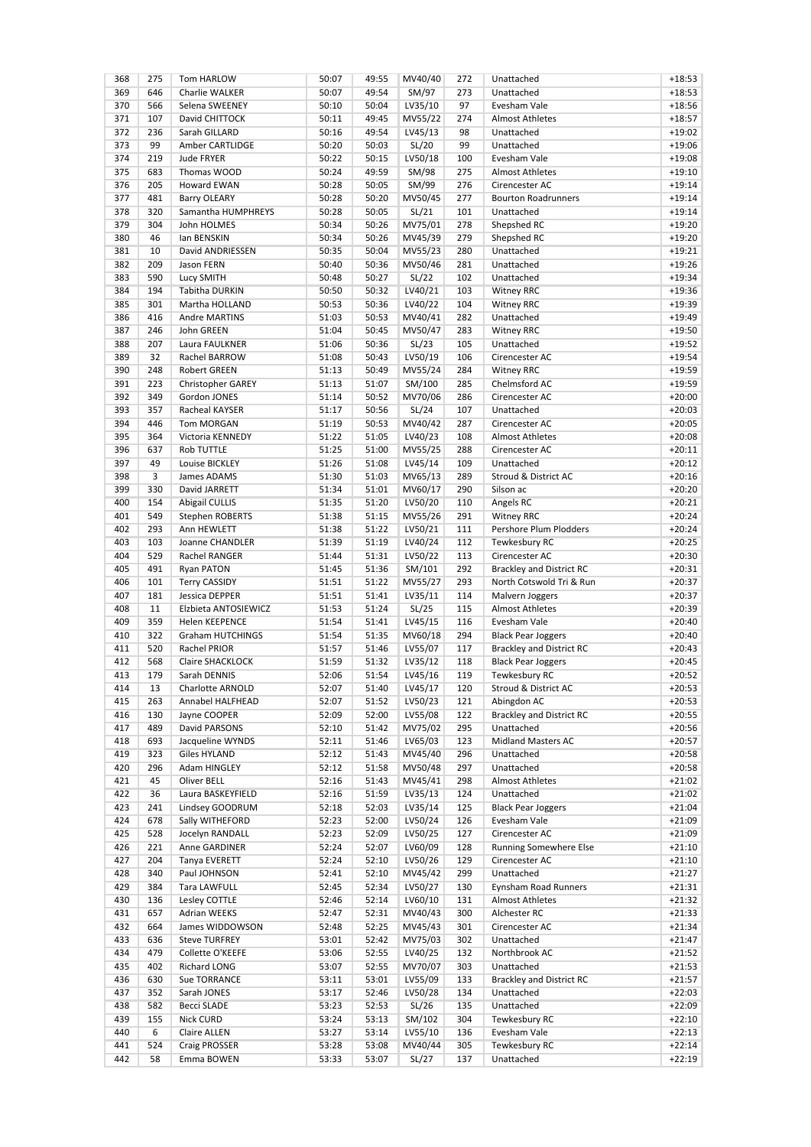| 368 | 275 | Tom HARLOW               | 50:07 | 49:55 | MV40/40 | 272 | Unattached                      | $+18:53$ |
|-----|-----|--------------------------|-------|-------|---------|-----|---------------------------------|----------|
| 369 | 646 | Charlie WALKER           | 50:07 | 49:54 | SM/97   | 273 | Unattached                      | $+18:53$ |
| 370 | 566 | Selena SWEENEY           | 50:10 | 50:04 | LV35/10 | 97  | Evesham Vale                    | $+18:56$ |
| 371 | 107 | David CHITTOCK           | 50:11 | 49:45 | MV55/22 | 274 | <b>Almost Athletes</b>          | $+18:57$ |
| 372 | 236 | Sarah GILLARD            | 50:16 | 49:54 | LV45/13 | 98  | Unattached                      | $+19:02$ |
| 373 | 99  | Amber CARTLIDGE          | 50:20 | 50:03 | SL/20   | 99  | Unattached                      | $+19:06$ |
| 374 | 219 | Jude FRYER               | 50:22 | 50:15 | LV50/18 | 100 | Evesham Vale                    | $+19:08$ |
| 375 | 683 | Thomas WOOD              | 50:24 | 49:59 | SM/98   | 275 | <b>Almost Athletes</b>          | $+19:10$ |
| 376 | 205 | Howard EWAN              | 50:28 | 50:05 | SM/99   | 276 | Cirencester AC                  | $+19:14$ |
| 377 | 481 |                          | 50:28 | 50:20 |         | 277 | <b>Bourton Roadrunners</b>      | $+19:14$ |
|     |     | Barry OLEARY             |       |       | MV50/45 |     |                                 |          |
| 378 | 320 | Samantha HUMPHREYS       | 50:28 | 50:05 | SL/21   | 101 | Unattached                      | $+19:14$ |
| 379 | 304 | John HOLMES              | 50:34 | 50:26 | MV75/01 | 278 | Shepshed RC                     | $+19:20$ |
| 380 | 46  | lan BENSKIN              | 50:34 | 50:26 | MV45/39 | 279 | Shepshed RC                     | $+19:20$ |
| 381 | 10  | David ANDRIESSEN         | 50:35 | 50:04 | MV55/23 | 280 | Unattached                      | $+19:21$ |
| 382 | 209 | Jason FERN               | 50:40 | 50:36 | MV50/46 | 281 | Unattached                      | $+19:26$ |
| 383 | 590 | Lucy SMITH               | 50:48 | 50:27 | SL/22   | 102 | Unattached                      | $+19:34$ |
| 384 | 194 | Tabitha DURKIN           | 50:50 | 50:32 | LV40/21 | 103 | <b>Witney RRC</b>               | $+19:36$ |
| 385 | 301 | Martha HOLLAND           | 50:53 | 50:36 | LV40/22 | 104 | <b>Witney RRC</b>               | $+19:39$ |
| 386 | 416 | <b>Andre MARTINS</b>     | 51:03 | 50:53 | MV40/41 | 282 | Unattached                      | $+19:49$ |
| 387 | 246 | John GREEN               | 51:04 | 50:45 | MV50/47 | 283 | <b>Witney RRC</b>               | $+19:50$ |
| 388 | 207 | Laura FAULKNER           | 51:06 | 50:36 | SL/23   | 105 | Unattached                      | $+19:52$ |
|     |     |                          |       |       |         |     | Cirencester AC                  | $+19:54$ |
| 389 | 32  | Rachel BARROW            | 51:08 | 50:43 | LV50/19 | 106 |                                 |          |
| 390 | 248 | <b>Robert GREEN</b>      | 51:13 | 50:49 | MV55/24 | 284 | <b>Witney RRC</b>               | $+19:59$ |
| 391 | 223 | <b>Christopher GAREY</b> | 51:13 | 51:07 | SM/100  | 285 | Chelmsford AC                   | $+19:59$ |
| 392 | 349 | Gordon JONES             | 51:14 | 50:52 | MV70/06 | 286 | Cirencester AC                  | $+20:00$ |
| 393 | 357 | Racheal KAYSER           | 51:17 | 50:56 | SL/24   | 107 | Unattached                      | $+20:03$ |
| 394 | 446 | <b>Tom MORGAN</b>        | 51:19 | 50:53 | MV40/42 | 287 | Cirencester AC                  | $+20:05$ |
| 395 | 364 | Victoria KENNEDY         | 51:22 | 51:05 | LV40/23 | 108 | <b>Almost Athletes</b>          | $+20:08$ |
| 396 | 637 | <b>Rob TUTTLE</b>        | 51:25 | 51:00 | MV55/25 | 288 | Cirencester AC                  | $+20:11$ |
| 397 | 49  | Louise BICKLEY           | 51:26 | 51:08 | LV45/14 | 109 | Unattached                      | $+20:12$ |
| 398 | 3   | James ADAMS              | 51:30 | 51:03 | MV65/13 | 289 | Stroud & District AC            | $+20:16$ |
| 399 | 330 | David JARRETT            | 51:34 | 51:01 | MV60/17 | 290 | Silson ac                       | $+20:20$ |
|     |     |                          |       |       |         |     |                                 |          |
| 400 | 154 | <b>Abigail CULLIS</b>    | 51:35 | 51:20 | LV50/20 | 110 | Angels RC                       | $+20:21$ |
| 401 | 549 | Stephen ROBERTS          | 51:38 | 51:15 | MV55/26 | 291 | <b>Witney RRC</b>               | $+20:24$ |
| 402 | 293 | Ann HEWLETT              | 51:38 | 51:22 | LV50/21 | 111 | Pershore Plum Plodders          | $+20:24$ |
| 403 | 103 | Joanne CHANDLER          | 51:39 | 51:19 | LV40/24 | 112 | Tewkesbury RC                   | $+20:25$ |
| 404 | 529 | Rachel RANGER            | 51:44 | 51:31 | LV50/22 | 113 | Cirencester AC                  | $+20:30$ |
| 405 | 491 | <b>Ryan PATON</b>        | 51:45 | 51:36 | SM/101  | 292 | <b>Brackley and District RC</b> | $+20:31$ |
| 406 | 101 | <b>Terry CASSIDY</b>     | 51:51 | 51:22 | MV55/27 | 293 | North Cotswold Tri & Run        | $+20:37$ |
| 407 | 181 | Jessica DEPPER           | 51:51 | 51:41 | LV35/11 | 114 | Malvern Joggers                 | $+20:37$ |
| 408 | 11  | Elzbieta ANTOSIEWICZ     | 51:53 | 51:24 | SL/25   | 115 | <b>Almost Athletes</b>          | $+20:39$ |
| 409 | 359 | Helen KEEPENCE           | 51:54 | 51:41 | LV45/15 | 116 | Evesham Vale                    | $+20:40$ |
| 410 | 322 | Graham HUTCHINGS         | 51:54 | 51:35 | MV60/18 | 294 | <b>Black Pear Joggers</b>       | $+20:40$ |
| 411 | 520 |                          | 51:57 |       |         |     |                                 |          |
|     |     | Rachel PRIOR             |       | 51:46 | LV55/07 | 117 | <b>Brackley and District RC</b> | $+20:43$ |
| 412 | 568 | Claire SHACKLOCK         | 51:59 | 51:32 | LV35/12 | 118 | <b>Black Pear Joggers</b>       | $+20:45$ |
| 413 | 179 | Sarah DENNIS             | 52:06 | 51:54 | LV45/16 | 119 | Tewkesbury RC                   | $+20:52$ |
| 414 | 13  | Charlotte ARNOLD         | 52:07 | 51:40 | LV45/17 | 120 | Stroud & District AC            | $+20:53$ |
| 415 | 263 | Annabel HALFHEAD         | 52:07 | 51:52 | LV50/23 | 121 | Abingdon AC                     | $+20:53$ |
| 416 | 130 | Jayne COOPER             | 52:09 | 52:00 | LV55/08 | 122 | <b>Brackley and District RC</b> | $+20:55$ |
| 417 | 489 | David PARSONS            | 52:10 | 51:42 | MV75/02 | 295 | Unattached                      | $+20:56$ |
| 418 | 693 | Jacqueline WYNDS         | 52:11 | 51:46 | LV65/03 | 123 | Midland Masters AC              | $+20:57$ |
| 419 | 323 | Giles HYLAND             | 52:12 | 51:43 | MV45/40 | 296 | Unattached                      | $+20:58$ |
| 420 | 296 | Adam HINGLEY             | 52:12 | 51:58 | MV50/48 | 297 | Unattached                      | $+20:58$ |
| 421 | 45  | Oliver BELL              | 52:16 | 51:43 | MV45/41 | 298 | <b>Almost Athletes</b>          | $+21:02$ |
| 422 | 36  | Laura BASKEYFIELD        | 52:16 | 51:59 | LV35/13 | 124 | Unattached                      | $+21:02$ |
| 423 | 241 | Lindsey GOODRUM          | 52:18 | 52:03 | LV35/14 | 125 | <b>Black Pear Joggers</b>       | $+21:04$ |
|     |     |                          |       |       |         |     |                                 |          |
| 424 | 678 | Sally WITHEFORD          | 52:23 | 52:00 | LV50/24 | 126 | Evesham Vale                    | $+21:09$ |
| 425 | 528 | Jocelyn RANDALL          | 52:23 | 52:09 | LV50/25 | 127 | Cirencester AC                  | $+21:09$ |
| 426 | 221 | Anne GARDINER            | 52:24 | 52:07 | LV60/09 | 128 | <b>Running Somewhere Else</b>   | $+21:10$ |
| 427 | 204 | Tanya EVERETT            | 52:24 | 52:10 | LV50/26 | 129 | Cirencester AC                  | $+21:10$ |
| 428 | 340 | Paul JOHNSON             | 52:41 | 52:10 | MV45/42 | 299 | Unattached                      | $+21:27$ |
| 429 | 384 | Tara LAWFULL             | 52:45 | 52:34 | LV50/27 | 130 | Eynsham Road Runners            | $+21:31$ |
| 430 | 136 | Lesley COTTLE            | 52:46 | 52:14 | LV60/10 | 131 | Almost Athletes                 | $+21:32$ |
| 431 | 657 | Adrian WEEKS             | 52:47 | 52:31 | MV40/43 | 300 | Alchester RC                    | $+21:33$ |
| 432 | 664 | James WIDDOWSON          | 52:48 | 52:25 | MV45/43 | 301 | Cirencester AC                  | $+21:34$ |
| 433 | 636 | <b>Steve TURFREY</b>     | 53:01 | 52:42 | MV75/03 | 302 | Unattached                      | $+21:47$ |
| 434 | 479 | Collette O'KEEFE         | 53:06 | 52:55 | LV40/25 | 132 | Northbrook AC                   | $+21:52$ |
|     |     |                          |       |       |         |     |                                 |          |
| 435 | 402 | Richard LONG             | 53:07 | 52:55 | MV70/07 | 303 | Unattached                      | $+21:53$ |
| 436 | 630 | Sue TORRANCE             | 53:11 | 53:01 | LV55/09 | 133 | <b>Brackley and District RC</b> | $+21:57$ |
| 437 | 352 | Sarah JONES              | 53:17 | 52:46 | LV50/28 | 134 | Unattached                      | $+22:03$ |
| 438 | 582 | <b>Becci SLADE</b>       | 53:23 | 52:53 | SL/26   | 135 | Unattached                      | $+22:09$ |
| 439 | 155 | Nick CURD                | 53:24 | 53:13 | SM/102  | 304 | Tewkesbury RC                   | $+22:10$ |
| 440 | 6   | Claire ALLEN             | 53:27 | 53:14 | LV55/10 | 136 | Evesham Vale                    | $+22:13$ |
| 441 | 524 | Craig PROSSER            | 53:28 | 53:08 | MV40/44 | 305 | Tewkesbury RC                   | $+22:14$ |
| 442 | 58  | Emma BOWEN               | 53:33 | 53:07 | SL/27   | 137 | Unattached                      | $+22:19$ |
|     |     |                          |       |       |         |     |                                 |          |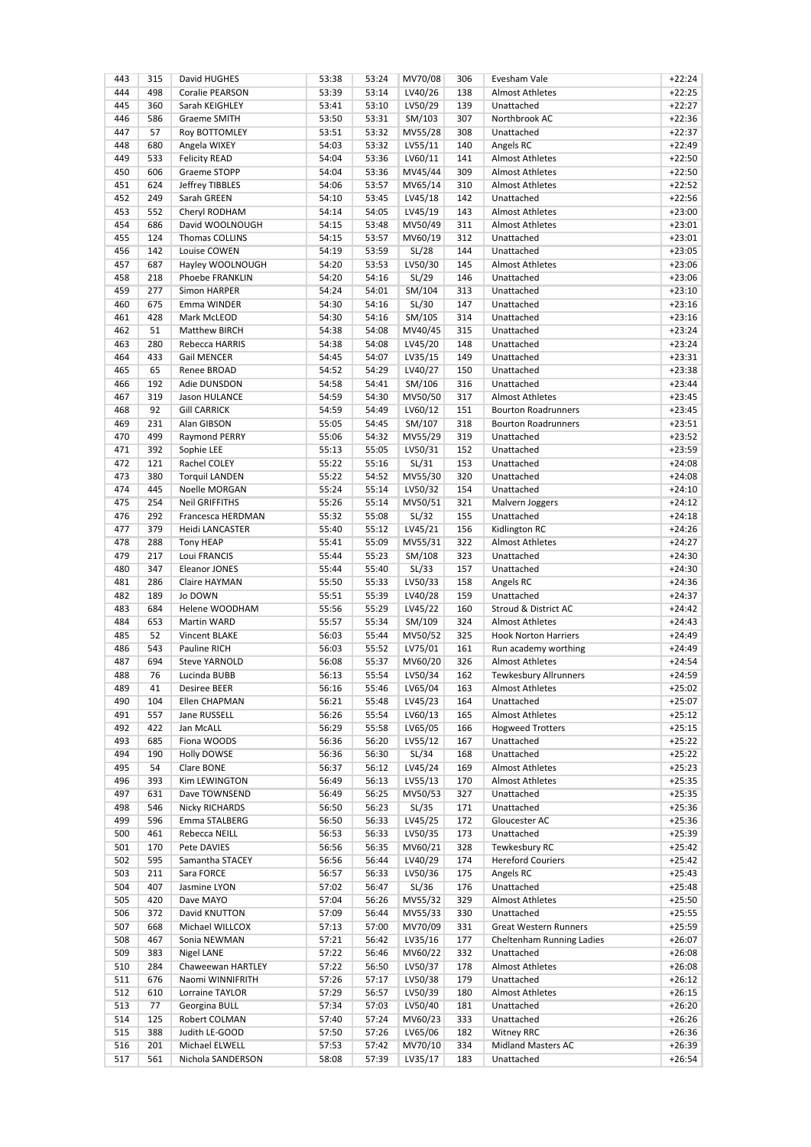| 443 | 315 | David HUGHES          | 53:38 | 53:24 | MV70/08 | 306 | Evesham Vale                 | $+22:24$ |
|-----|-----|-----------------------|-------|-------|---------|-----|------------------------------|----------|
| 444 | 498 | Coralie PEARSON       | 53:39 | 53:14 | LV40/26 | 138 | <b>Almost Athletes</b>       | $+22:25$ |
| 445 | 360 | Sarah KEIGHLEY        | 53:41 | 53:10 | LV50/29 | 139 | Unattached                   | $+22:27$ |
| 446 | 586 | <b>Graeme SMITH</b>   | 53:50 | 53:31 | SM/103  | 307 | Northbrook AC                | $+22:36$ |
| 447 | 57  | Roy BOTTOMLEY         | 53:51 | 53:32 | MV55/28 | 308 | Unattached                   | $+22:37$ |
| 448 | 680 | Angela WIXEY          | 54:03 | 53:32 | LV55/11 | 140 | Angels RC                    | $+22:49$ |
| 449 | 533 | <b>Felicity READ</b>  | 54:04 | 53:36 | LV60/11 | 141 | <b>Almost Athletes</b>       | $+22:50$ |
| 450 | 606 | Graeme STOPP          | 54:04 | 53:36 | MV45/44 | 309 | <b>Almost Athletes</b>       | $+22:50$ |
| 451 | 624 | Jeffrey TIBBLES       | 54:06 | 53:57 | MV65/14 | 310 | <b>Almost Athletes</b>       | $+22:52$ |
| 452 | 249 | Sarah GREEN           | 54:10 | 53:45 | LV45/18 | 142 | Unattached                   | $+22:56$ |
| 453 | 552 | Cheryl RODHAM         | 54:14 | 54:05 | LV45/19 | 143 | <b>Almost Athletes</b>       | $+23:00$ |
| 454 | 686 | David WOOLNOUGH       | 54:15 | 53:48 | MV50/49 | 311 | <b>Almost Athletes</b>       | $+23:01$ |
| 455 | 124 | <b>Thomas COLLINS</b> | 54:15 | 53:57 | MV60/19 | 312 | Unattached                   | $+23:01$ |
| 456 | 142 | Louise COWEN          | 54:19 | 53:59 |         | 144 | Unattached                   | $+23:05$ |
| 457 |     | Hayley WOOLNOUGH      |       |       | SL/28   |     |                              |          |
|     | 687 |                       | 54:20 | 53:53 | LV50/30 | 145 | <b>Almost Athletes</b>       | $+23:06$ |
| 458 | 218 | Phoebe FRANKLIN       | 54:20 | 54:16 | SL/29   | 146 | Unattached                   | $+23:06$ |
| 459 | 277 | Simon HARPER          | 54:24 | 54:01 | SM/104  | 313 | Unattached                   | $+23:10$ |
| 460 | 675 | Emma WINDER           | 54:30 | 54:16 | SL/30   | 147 | Unattached                   | $+23:16$ |
| 461 | 428 | Mark McLEOD           | 54:30 | 54:16 | SM/105  | 314 | Unattached                   | $+23:16$ |
| 462 | 51  | Matthew BIRCH         | 54:38 | 54:08 | MV40/45 | 315 | Unattached                   | $+23:24$ |
| 463 | 280 | Rebecca HARRIS        | 54:38 | 54:08 | LV45/20 | 148 | Unattached                   | $+23:24$ |
| 464 | 433 | <b>Gail MENCER</b>    | 54:45 | 54:07 | LV35/15 | 149 | Unattached                   | $+23:31$ |
| 465 | 65  | Renee BROAD           | 54:52 | 54:29 | LV40/27 | 150 | Unattached                   | $+23:38$ |
| 466 | 192 | Adie DUNSDON          | 54:58 | 54:41 | SM/106  | 316 | Unattached                   | $+23:44$ |
| 467 | 319 | Jason HULANCE         | 54:59 | 54:30 | MV50/50 | 317 | <b>Almost Athletes</b>       | $+23:45$ |
| 468 | 92  | <b>Gill CARRICK</b>   | 54:59 | 54:49 | LV60/12 | 151 | <b>Bourton Roadrunners</b>   | $+23:45$ |
| 469 | 231 | Alan GIBSON           | 55:05 | 54:45 | SM/107  | 318 | <b>Bourton Roadrunners</b>   | $+23:51$ |
| 470 | 499 | Raymond PERRY         | 55:06 | 54:32 | MV55/29 | 319 | Unattached                   | $+23:52$ |
| 471 | 392 | Sophie LEE            | 55:13 | 55:05 | LV50/31 | 152 | Unattached                   | $+23:59$ |
| 472 | 121 | Rachel COLEY          | 55:22 | 55:16 | SL/31   | 153 | Unattached                   | $+24:08$ |
| 473 | 380 | <b>Torquil LANDEN</b> | 55:22 | 54:52 | MV55/30 | 320 | Unattached                   | $+24:08$ |
|     |     |                       |       |       |         |     |                              |          |
| 474 | 445 | Noelle MORGAN         | 55:24 | 55:14 | LV50/32 | 154 | Unattached                   | $+24:10$ |
| 475 | 254 | <b>Neil GRIFFITHS</b> | 55:26 | 55:14 | MV50/51 | 321 | Malvern Joggers              | $+24:12$ |
| 476 | 292 | Francesca HERDMAN     | 55:32 | 55:08 | SL/32   | 155 | Unattached                   | $+24:18$ |
| 477 | 379 | Heidi LANCASTER       | 55:40 | 55:12 | LV45/21 | 156 | Kidlington RC                | $+24:26$ |
| 478 | 288 | <b>Tony HEAP</b>      | 55:41 | 55:09 | MV55/31 | 322 | <b>Almost Athletes</b>       | $+24:27$ |
| 479 | 217 | Loui FRANCIS          | 55:44 | 55:23 | SM/108  | 323 | Unattached                   | $+24:30$ |
| 480 | 347 | Eleanor JONES         | 55:44 | 55:40 | SL/33   | 157 | Unattached                   | $+24:30$ |
| 481 | 286 | <b>Claire HAYMAN</b>  | 55:50 | 55:33 | LV50/33 | 158 | Angels RC                    | $+24:36$ |
| 482 | 189 | Jo DOWN               | 55:51 | 55:39 | LV40/28 | 159 | Unattached                   | $+24:37$ |
| 483 | 684 | Helene WOODHAM        | 55:56 | 55:29 | LV45/22 | 160 | Stroud & District AC         | $+24:42$ |
| 484 | 653 | <b>Martin WARD</b>    | 55:57 | 55:34 | SM/109  | 324 | <b>Almost Athletes</b>       | $+24:43$ |
| 485 | 52  | Vincent BLAKE         | 56:03 | 55:44 | MV50/52 | 325 | <b>Hook Norton Harriers</b>  | $+24:49$ |
| 486 | 543 | Pauline RICH          | 56:03 | 55:52 | LV75/01 | 161 | Run academy worthing         | $+24:49$ |
| 487 | 694 | Steve YARNOLD         | 56:08 | 55:37 | MV60/20 | 326 | <b>Almost Athletes</b>       | $+24:54$ |
| 488 | 76  | Lucinda BUBB          | 56:13 | 55:54 | LV50/34 | 162 | <b>Tewkesbury Allrunners</b> | $+24:59$ |
| 489 | 41  | Desiree BEER          | 56:16 | 55:46 | LV65/04 | 163 | Almost Athletes              | $+25:02$ |
| 490 | 104 | Ellen CHAPMAN         | 56:21 | 55:48 | LV45/23 | 164 | Unattached                   | $+25:07$ |
| 491 | 557 | Jane RUSSELL          | 56:26 | 55:54 | LV60/13 | 165 | Almost Athletes              | $+25:12$ |
|     |     |                       |       |       |         |     |                              |          |
| 492 | 422 | Jan McALL             | 56:29 | 55:58 | LV65/05 | 166 | <b>Hogweed Trotters</b>      | $+25:15$ |
| 493 | 685 | Fiona WOODS           | 56:36 | 56:20 | LV55/12 | 167 | Unattached                   | $+25:22$ |
| 494 | 190 | <b>Holly DOWSE</b>    | 56:36 | 56:30 | SL/34   | 168 | Unattached                   | $+25:22$ |
| 495 | 54  | Clare BONE            | 56:37 | 56:12 | LV45/24 | 169 | Almost Athletes              | $+25:23$ |
| 496 | 393 | Kim LEWINGTON         | 56:49 | 56:13 | LV55/13 | 170 | Almost Athletes              | $+25:35$ |
| 497 | 631 | Dave TOWNSEND         | 56:49 | 56:25 | MV50/53 | 327 | Unattached                   | $+25:35$ |
| 498 | 546 | Nicky RICHARDS        | 56:50 | 56:23 | SL/35   | 171 | Unattached                   | $+25:36$ |
| 499 | 596 | Emma STALBERG         | 56:50 | 56:33 | LV45/25 | 172 | Gloucester AC                | $+25:36$ |
| 500 | 461 | Rebecca NEILL         | 56:53 | 56:33 | LV50/35 | 173 | Unattached                   | $+25:39$ |
| 501 | 170 | Pete DAVIES           | 56:56 | 56:35 | MV60/21 | 328 | Tewkesbury RC                | $+25:42$ |
| 502 | 595 | Samantha STACEY       | 56:56 | 56:44 | LV40/29 | 174 | <b>Hereford Couriers</b>     | $+25:42$ |
| 503 | 211 | Sara FORCE            | 56:57 | 56:33 | LV50/36 | 175 | Angels RC                    | $+25:43$ |
| 504 | 407 | Jasmine LYON          | 57:02 | 56:47 | SL/36   | 176 | Unattached                   | $+25:48$ |
| 505 | 420 | Dave MAYO             | 57:04 | 56:26 | MV55/32 | 329 | Almost Athletes              | $+25:50$ |
| 506 | 372 | David KNUTTON         | 57:09 | 56:44 | MV55/33 | 330 | Unattached                   | $+25:55$ |
|     |     |                       |       |       |         |     |                              |          |
| 507 | 668 | Michael WILLCOX       | 57:13 | 57:00 | MV70/09 | 331 | <b>Great Western Runners</b> | $+25:59$ |
| 508 | 467 | Sonia NEWMAN          | 57:21 | 56:42 | LV35/16 | 177 | Cheltenham Running Ladies    | $+26:07$ |
| 509 | 383 | Nigel LANE            | 57:22 | 56:46 | MV60/22 | 332 | Unattached                   | $+26:08$ |
| 510 | 284 | Chaweewan HARTLEY     | 57:22 | 56:50 | LV50/37 | 178 | Almost Athletes              | $+26:08$ |
| 511 | 676 | Naomi WINNIFRITH      | 57:26 | 57:17 | LV50/38 | 179 | Unattached                   | $+26:12$ |
| 512 | 610 | Lorraine TAYLOR       | 57:29 | 56:57 | LV50/39 | 180 | <b>Almost Athletes</b>       | $+26:15$ |
| 513 | 77  | Georgina BULL         | 57:34 | 57:03 | LV50/40 | 181 | Unattached                   | $+26:20$ |
| 514 | 125 | Robert COLMAN         | 57:40 | 57:24 | MV60/23 | 333 | Unattached                   | $+26:26$ |
| 515 | 388 | Judith LE-GOOD        | 57:50 | 57:26 | LV65/06 | 182 | <b>Witney RRC</b>            | $+26:36$ |
| 516 | 201 | Michael ELWELL        | 57:53 | 57:42 | MV70/10 | 334 | Midland Masters AC           | $+26:39$ |
| 517 | 561 | Nichola SANDERSON     | 58:08 | 57:39 | LV35/17 | 183 | Unattached                   | $+26:54$ |
|     |     |                       |       |       |         |     |                              |          |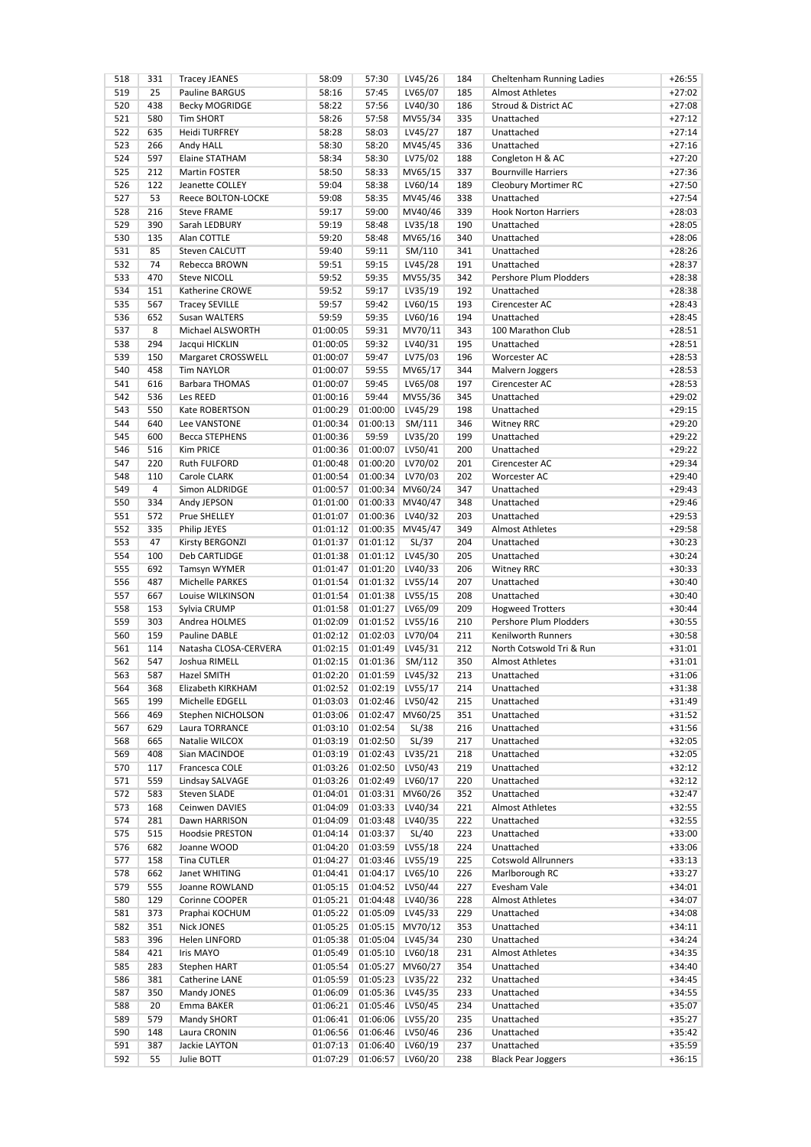| 518        | 331            | <b>Tracey JEANES</b>                   | 58:09    | 57:30                     | LV45/26          | 184 | Cheltenham Running Ladies   | $+26:55$ |
|------------|----------------|----------------------------------------|----------|---------------------------|------------------|-----|-----------------------------|----------|
| 519        | 25             | Pauline BARGUS                         | 58:16    | 57:45                     | LV65/07          | 185 | <b>Almost Athletes</b>      | $+27:02$ |
| 520        | 438            | <b>Becky MOGRIDGE</b>                  | 58:22    | 57:56                     | LV40/30          | 186 | Stroud & District AC        | $+27:08$ |
| 521        | 580            | <b>Tim SHORT</b>                       | 58:26    | 57:58                     | MV55/34          | 335 | Unattached                  | $+27:12$ |
| 522        | 635            | <b>Heidi TURFREY</b>                   | 58:28    | 58:03                     | LV45/27          | 187 | Unattached                  | $+27:14$ |
| 523        | 266            | Andy HALL                              | 58:30    | 58:20                     | MV45/45          | 336 | Unattached                  | $+27:16$ |
| 524        | 597            | <b>Elaine STATHAM</b>                  | 58:34    | 58:30                     | LV75/02          | 188 | Congleton H & AC            | $+27:20$ |
| 525        | 212            | Martin FOSTER                          | 58:50    | 58:33                     | MV65/15          | 337 | <b>Bournville Harriers</b>  | $+27:36$ |
| 526        | 122            | Jeanette COLLEY                        | 59:04    | 58:38                     | LV60/14          | 189 | Cleobury Mortimer RC        | $+27:50$ |
| 527        | 53             | Reece BOLTON-LOCKE                     | 59:08    | 58:35                     | MV45/46          | 338 | Unattached                  | $+27:54$ |
| 528        | 216            | <b>Steve FRAME</b>                     | 59:17    | 59:00                     | MV40/46          | 339 | <b>Hook Norton Harriers</b> | $+28:03$ |
| 529        | 390            | Sarah LEDBURY                          | 59:19    | 58:48                     | LV35/18          | 190 | Unattached                  | $+28:05$ |
| 530        | 135            | Alan COTTLE                            | 59:20    | 58:48                     | MV65/16          | 340 | Unattached                  | $+28:06$ |
| 531        | 85             | Steven CALCUTT                         | 59:40    | 59:11                     |                  | 341 | Unattached                  | $+28:26$ |
|            | 74             | Rebecca BROWN                          |          | 59:15                     | SM/110           |     |                             |          |
| 532        |                |                                        | 59:51    |                           | LV45/28          | 191 | Unattached                  | $+28:37$ |
| 533        | 470            | <b>Steve NICOLL</b>                    | 59:52    | 59:35                     | MV55/35          | 342 | Pershore Plum Plodders      | $+28:38$ |
| 534        | 151            | Katherine CROWE                        | 59:52    | 59:17                     | LV35/19          | 192 | Unattached                  | $+28:38$ |
| 535        | 567            | <b>Tracey SEVILLE</b>                  | 59:57    | 59:42                     | LV60/15          | 193 | Cirencester AC              | $+28:43$ |
| 536        | 652            | Susan WALTERS                          | 59:59    | 59:35                     | LV60/16          | 194 | Unattached                  | $+28:45$ |
| 537        | 8              | Michael ALSWORTH                       | 01:00:05 | 59:31                     | MV70/11          | 343 | 100 Marathon Club           | $+28:51$ |
| 538        | 294            | Jacqui HICKLIN                         | 01:00:05 | 59:32                     | LV40/31          | 195 | Unattached                  | $+28:51$ |
| 539        | 150            | Margaret CROSSWELL                     | 01:00:07 | 59:47                     | LV75/03          | 196 | Worcester AC                | $+28:53$ |
| 540        | 458            | <b>Tim NAYLOR</b>                      | 01:00:07 | 59:55                     | MV65/17          | 344 | Malvern Joggers             | $+28:53$ |
| 541        | 616            | <b>Barbara THOMAS</b>                  | 01:00:07 | 59:45                     | LV65/08          | 197 | Cirencester AC              | $+28:53$ |
| 542        | 536            | Les REED                               | 01:00:16 | 59:44                     | MV55/36          | 345 | Unattached                  | $+29:02$ |
| 543        | 550            | Kate ROBERTSON                         | 01:00:29 | 01:00:00                  | LV45/29          | 198 | Unattached                  | $+29:15$ |
| 544        | 640            | Lee VANSTONE                           | 01:00:34 | 01:00:13                  | SM/111           | 346 | <b>Witney RRC</b>           | $+29:20$ |
| 545        | 600            | <b>Becca STEPHENS</b>                  | 01:00:36 | 59:59                     | LV35/20          | 199 | Unattached                  | $+29:22$ |
| 546        | 516            | Kim PRICE                              | 01:00:36 | 01:00:07                  | LV50/41          | 200 | Unattached                  | $+29:22$ |
| 547        | 220            | <b>Ruth FULFORD</b>                    | 01:00:48 | 01:00:20                  | LV70/02          | 201 | Cirencester AC              | $+29:34$ |
| 548        | 110            | Carole CLARK                           | 01:00:54 | 01:00:34                  | LV70/03          | 202 | Worcester AC                | $+29:40$ |
| 549        | $\overline{4}$ | Simon ALDRIDGE                         | 01:00:57 |                           | 01:00:34 MV60/24 | 347 | Unattached                  | $+29:43$ |
| 550        | 334            | Andy JEPSON                            | 01:01:00 |                           | 01:00:33 MV40/47 | 348 | Unattached                  | $+29:46$ |
| 551        | 572            | Prue SHELLEY                           | 01:01:07 |                           | 01:00:36 LV40/32 | 203 | Unattached                  | $+29:53$ |
| 552        | 335            |                                        |          |                           | 01:00:35 MV45/47 | 349 | <b>Almost Athletes</b>      | $+29:58$ |
|            |                | Philip JEYES                           | 01:01:12 |                           |                  |     |                             |          |
| 553        | 47             | Kirsty BERGONZI                        | 01:01:37 | 01:01:12                  | SL/37            | 204 | Unattached                  | $+30:23$ |
| 554        | 100            | <b>Deb CARTLIDGE</b>                   | 01:01:38 |                           | 01:01:12 LV45/30 | 205 | Unattached                  | $+30:24$ |
| 555        | 692            | Tamsyn WYMER                           | 01:01:47 | 01:01:20                  | LV40/33          | 206 | <b>Witney RRC</b>           | $+30:33$ |
| 556        | 487            | Michelle PARKES                        | 01:01:54 | 01:01:32                  | LV55/14          | 207 | Unattached                  | $+30:40$ |
| 557        | 667            | Louise WILKINSON                       | 01:01:54 |                           | 01:01:38 LV55/15 | 208 | Unattached                  | $+30:40$ |
| 558        | 153            | Sylvia CRUMP                           | 01:01:58 | 01:01:27                  | LV65/09          | 209 | <b>Hogweed Trotters</b>     | $+30:44$ |
| 559        | 303            | Andrea HOLMES                          | 01:02:09 | 01:01:52                  | LV55/16          | 210 | Pershore Plum Plodders      | $+30:55$ |
| 560        | 159            | Pauline DABLE                          | 01:02:12 | 01:02:03                  | LV70/04          | 211 | <b>Kenilworth Runners</b>   | $+30:58$ |
| 561        | 114            | Natasha CLOSA-CERVERA                  | 01:02:15 | 01:01:49                  | LV45/31          | 212 | North Cotswold Tri & Run    | $+31:01$ |
| 562        | 547            | Joshua RIMELL                          | 01:02:15 | 01:01:36                  | SM/112           | 350 | <b>Almost Athletes</b>      | $+31:01$ |
| 563        | 587            | Hazel SMITH                            | 01:02:20 | 01:01:59                  | LV45/32          | 213 | Unattached                  | $+31:06$ |
| 564        | 368            | Elizabeth KIRKHAM                      |          | 01:02:52 01:02:19 LV55/17 |                  | 214 | Unattached                  | +31:38   |
| 565        | 199            | Michelle EDGELL                        | 01:03:03 |                           | 01:02:46 LV50/42 | 215 | Unattached                  | $+31:49$ |
| 566        | 469            | Stephen NICHOLSON                      | 01:03:06 |                           | 01:02:47 MV60/25 | 351 | Unattached                  | $+31:52$ |
| 567        | 629            | Laura TORRANCE                         | 01:03:10 | 01:02:54                  | SL/38            | 216 | Unattached                  | $+31:56$ |
| 568        | 665            | Natalie WILCOX                         | 01:03:19 | 01:02:50                  | SL/39            | 217 | Unattached                  | $+32:05$ |
| 569        | 408            | Sian MACINDOE                          | 01:03:19 | 01:02:43                  | LV35/21          | 218 | Unattached                  | $+32:05$ |
| 570        | 117            | Francesca COLE                         | 01:03:26 | 01:02:50                  | LV50/43          | 219 | Unattached                  | $+32:12$ |
|            | 559            |                                        |          |                           |                  |     | Unattached                  |          |
| 571<br>572 | 583            | Lindsay SALVAGE<br><b>Steven SLADE</b> | 01:03:26 | 01:02:49                  | LV60/17          | 220 | Unattached                  | $+32:12$ |
|            |                |                                        | 01:04:01 |                           | 01:03:31 MV60/26 | 352 |                             | $+32:47$ |
| 573        | 168            | Ceinwen DAVIES                         | 01:04:09 |                           | 01:03:33 LV40/34 | 221 | Almost Athletes             | $+32:55$ |
| 574        | 281            | Dawn HARRISON                          | 01:04:09 | 01:03:48                  | LV40/35          | 222 | Unattached                  | $+32:55$ |
| 575        | 515            | <b>Hoodsie PRESTON</b>                 | 01:04:14 | 01:03:37                  | SL/40            | 223 | Unattached                  | $+33:00$ |
| 576        | 682            | Joanne WOOD                            | 01:04:20 | 01:03:59                  | LV55/18          | 224 | Unattached                  | $+33:06$ |
| 577        | 158            | <b>Tina CUTLER</b>                     | 01:04:27 | 01:03:46                  | LV55/19          | 225 | <b>Cotswold Allrunners</b>  | $+33:13$ |
| 578        | 662            | Janet WHITING                          | 01:04:41 | 01:04:17                  | LV65/10          | 226 | Marlborough RC              | $+33:27$ |
| 579        | 555            | Joanne ROWLAND                         | 01:05:15 | 01:04:52                  | LV50/44          | 227 | Evesham Vale                | $+34:01$ |
| 580        | 129            | Corinne COOPER                         | 01:05:21 | 01:04:48                  | LV40/36          | 228 | <b>Almost Athletes</b>      | $+34:07$ |
| 581        | 373            | Praphai KOCHUM                         | 01:05:22 |                           | 01:05:09 LV45/33 | 229 | Unattached                  | $+34:08$ |
| 582        | 351            | <b>Nick JONES</b>                      | 01:05:25 |                           | 01:05:15 MV70/12 | 353 | Unattached                  | $+34:11$ |
| 583        | 396            | Helen LINFORD                          | 01:05:38 |                           | 01:05:04 LV45/34 | 230 | Unattached                  | $+34:24$ |
| 584        | 421            | Iris MAYO                              | 01:05:49 | 01:05:10                  | LV60/18          | 231 | Almost Athletes             | $+34:35$ |
| 585        | 283            | Stephen HART                           | 01:05:54 |                           | 01:05:27 MV60/27 | 354 | Unattached                  | $+34:40$ |
| 586        | 381            | Catherine LANE                         | 01:05:59 |                           | 01:05:23 LV35/22 | 232 | Unattached                  | $+34:45$ |
| 587        | 350            | Mandy JONES                            | 01:06:09 | 01:05:36                  | LV45/35          | 233 | Unattached                  | $+34:55$ |
| 588        | 20             | Emma BAKER                             | 01:06:21 |                           | 01:05:46 LV50/45 | 234 | Unattached                  | $+35:07$ |
| 589        | 579            | Mandy SHORT                            | 01:06:41 | 01:06:06                  | LV55/20          | 235 | Unattached                  | $+35:27$ |
| 590        | 148            | Laura CRONIN                           | 01:06:56 | 01:06:46                  | LV50/46          | 236 | Unattached                  | $+35:42$ |
|            |                | Jackie LAYTON                          | 01:07:13 | 01:06:40                  | LV60/19          | 237 | Unattached                  | $+35:59$ |
|            |                |                                        |          |                           |                  |     |                             |          |
| 591<br>592 | 387<br>55      | Julie BOTT                             | 01:07:29 | 01:06:57                  | LV60/20          | 238 | <b>Black Pear Joggers</b>   | $+36:15$ |